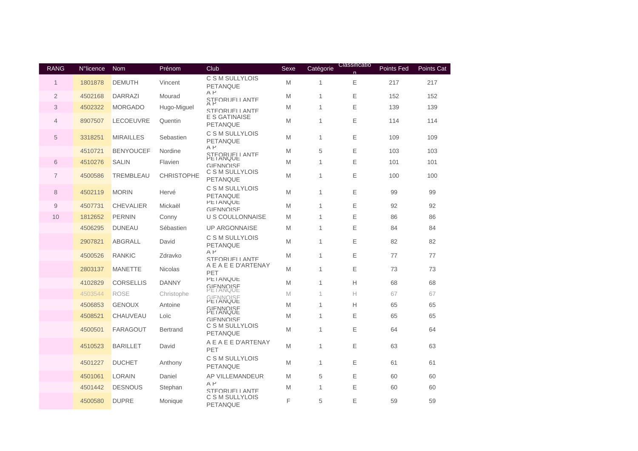| <b>RANG</b>    | N°licence | <b>Nom</b>       | Prénom            | Club                                            | Sexe | Catégorie    | Classificatio | Points Fed | <b>Points Cat</b> |
|----------------|-----------|------------------|-------------------|-------------------------------------------------|------|--------------|---------------|------------|-------------------|
| 1              | 1801878   | <b>DEMUTH</b>    | Vincent           | C S M SULLYLOIS<br><b>PETANQUE</b>              | M    | 1            | Ε             | 217        | 217               |
| 2              | 4502168   | <b>DARRAZI</b>   | Mourad            | $A$ $P$<br>STEORUFLLANTE                        | M    | 1            | Ε             | 152        | 152               |
| 3              | 4502322   | <b>MORGADO</b>   | Hugo-Miguel       | STEORUELL ANTE                                  | M    | $\mathbf{1}$ | E             | 139        | 139               |
| $\overline{4}$ | 8907507   | <b>LECOEUVRE</b> | Quentin           | E S GATINAISE<br>PETANQUE                       | M    | 1            | Ε             | 114        | 114               |
| 5              | 3318251   | <b>MIRAILLES</b> | Sebastien         | C S M SULLYLOIS<br>PETANQUE                     | M    | $\mathbf{1}$ | Ε             | 109        | 109               |
|                | 4510721   | <b>BENYOUCEF</b> | Nordine           | $A$ $P$<br>STEORUELLANTE                        | M    | 5            | Ε             | 103        | 103               |
| 6              | 4510276   | <b>SALIN</b>     | Flavien           | <b>PETANQUE</b><br><b>GIFNNOISE</b>             | M    | $\mathbf{1}$ | E             | 101        | 101               |
| $\overline{7}$ | 4500586   | <b>TREMBLEAU</b> | <b>CHRISTOPHE</b> | C S M SULLYLOIS<br><b>PETANQUE</b>              | M    | 1            | Ε             | 100        | 100               |
| 8              | 4502119   | <b>MORIN</b>     | Hervé             | C S M SULLYLOIS<br><b>PETANQUE</b>              | M    | $\mathbf{1}$ | Ε             | 99         | 99                |
| 9              | 4507731   | <b>CHEVALIER</b> | Mickaël           | <b>PETANQUE</b><br>GIFNNOISE                    | M    | 1            | Ε             | 92         | 92                |
| 10             | 1812652   | <b>PERNIN</b>    | Conny             | U S COULLONNAISE                                | M    | $\mathbf{1}$ | E             | 86         | 86                |
|                | 4506295   | <b>DUNEAU</b>    | Sébastien         | <b>UP ARGONNAISE</b>                            | M    | $\mathbf{1}$ | E             | 84         | 84                |
|                | 2907821   | ABGRALL          | David             | C S M SULLYLOIS<br><b>PETANQUE</b>              | M    | 1            | Ε             | 82         | 82                |
|                | 4500526   | <b>RANKIC</b>    | Zdravko           | $A$ $P$<br>STEORUELL ANTE                       | M    | 1            | E             | 77         | 77                |
|                | 2803137   | <b>MANETTE</b>   | <b>Nicolas</b>    | A E A E E D'ARTENAY<br>PET                      | M    | $\mathbf{1}$ | Ε             | 73         | 73                |
|                | 4102829   | <b>CORSELLIS</b> | <b>DANNY</b>      | <b>PETANQUE</b><br>GIFNNOISE                    | M    | $\mathbf{1}$ | H             | 68         | 68                |
|                | 4503544   | <b>ROSE</b>      | Christophe        | <b>PETANQUE</b><br>GIENNOISE<br><b>PETANQUE</b> | M    | $\mathbf{1}$ | Н             | 67         | 67                |
|                | 4506853   | <b>GENOUX</b>    | Antoine           | GIFNNOISE                                       | M    | 1            | Н             | 65         | 65                |
|                | 4508521   | <b>CHAUVEAU</b>  | Loïc              | <b>GIFNNOISE</b>                                | M    | 1            | Ε             | 65         | 65                |
|                | 4500501   | <b>FARAGOUT</b>  | <b>Bertrand</b>   | C S M SULLYLOIS<br><b>PETANQUE</b>              | M    | $\mathbf{1}$ | Ε             | 64         | 64                |
|                | 4510523   | <b>BARILLET</b>  | David             | A E A E E D'ARTENAY<br>PET                      | M    | $\mathbf{1}$ | Ε             | 63         | 63                |
|                | 4501227   | <b>DUCHET</b>    | Anthony           | C S M SULLYLOIS<br>PETANQUE                     | M    | $\mathbf{1}$ | Ε             | 61         | 61                |
|                | 4501061   | <b>LORAIN</b>    | Daniel            | AP VILLEMANDEUR                                 | M    | 5            | Ε             | 60         | 60                |
|                | 4501442   | <b>DESNOUS</b>   | Stephan           | $A$ $P$<br>STEORUELL ANTE                       | M    | 1            | Ε             | 60         | 60                |
|                | 4500580   | <b>DUPRE</b>     | Monique           | C S M SULLYLOIS<br>PETANQUE                     | F    | 5            | E             | 59         | 59                |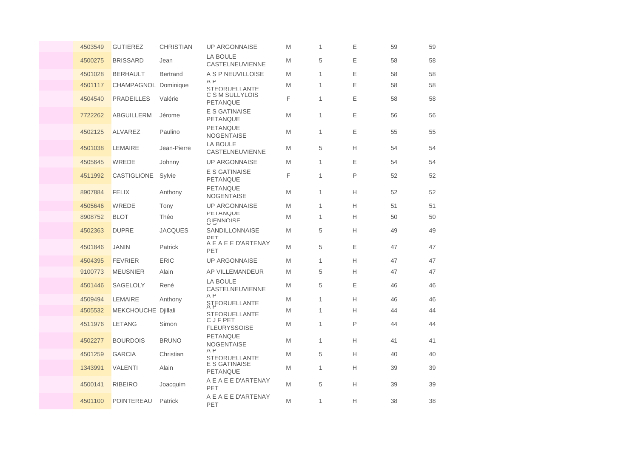| 4503549 | <b>GUTIEREZ</b>      | <b>CHRISTIAN</b> | <b>UP ARGONNAISE</b>                    | M | $\mathbf{1}$ | Ε | 59 | 59 |
|---------|----------------------|------------------|-----------------------------------------|---|--------------|---|----|----|
| 4500275 | <b>BRISSARD</b>      | Jean             | <b>LA BOULE</b><br>CASTELNEUVIENNE      | M | 5            | Ε | 58 | 58 |
| 4501028 | <b>BERHAULT</b>      | <b>Bertrand</b>  | A S P NEUVILLOISE                       | M | 1            | Ε | 58 | 58 |
| 4501117 | CHAMPAGNOL Dominique |                  | $A$ $P$<br>STFORUELLANTE                | M | 1            | Ε | 58 | 58 |
| 4504540 | <b>PRADEILLES</b>    | Valérie          | C S M SULLYLOIS<br><b>PETANQUE</b>      | F | 1            | Ε | 58 | 58 |
| 7722262 | <b>ABGUILLERM</b>    | Jérome           | <b>E S GATINAISE</b><br><b>PETANQUE</b> | M | 1            | E | 56 | 56 |
| 4502125 | <b>ALVAREZ</b>       | Paulino          | PETANQUE<br><b>NOGENTAISE</b>           | M | 1            | Ε | 55 | 55 |
| 4501038 | <b>LEMAIRE</b>       | Jean-Pierre      | <b>LA BOULE</b><br>CASTELNEUVIENNE      | M | 5            | Н | 54 | 54 |
| 4505645 | WREDE                | Johnny           | <b>UP ARGONNAISE</b>                    | M | 1            | Ε | 54 | 54 |
| 4511992 | CASTIGLIONE          | Sylvie           | <b>E S GATINAISE</b><br>PETANQUE        | F | $\mathbf{1}$ | P | 52 | 52 |
| 8907884 | <b>FELIX</b>         | Anthony          | <b>PETANQUE</b><br><b>NOGENTAISE</b>    | M | 1            | Н | 52 | 52 |
| 4505646 | WREDE                | Tony             | <b>UP ARGONNAISE</b>                    | M | 1            | н | 51 | 51 |
| 8908752 | <b>BLOT</b>          | Théo             | <b>PETANQUE</b><br>GIENNOISE            | M | 1            | Н | 50 | 50 |
| 4502363 | <b>DUPRE</b>         | <b>JACQUES</b>   | SANDILLONNAISE<br>DET                   | M | 5            | Н | 49 | 49 |
| 4501846 | <b>JANIN</b>         | Patrick          | A E A E E D'ARTENAY<br>PET              | M | 5            | Ε | 47 | 47 |
| 4504395 | <b>FEVRIER</b>       | <b>ERIC</b>      | <b>UP ARGONNAISE</b>                    | M | 1            | Н | 47 | 47 |
| 9100773 | <b>MEUSNIER</b>      | Alain            | AP VILLEMANDEUR                         | M | 5            | Н | 47 | 47 |
| 4501446 | <b>SAGELOLY</b>      | René             | <b>LA BOULE</b><br>CASTELNEUVIENNE      | M | 5            | E | 46 | 46 |
| 4509494 | LEMAIRE              | Anthony          | $A$ $P$<br><b>STFORUELLANTE</b>         | M | 1            | Н | 46 | 46 |
| 4505532 | MEKCHOUCHE Djillali  |                  | STEORUELL ANTE                          | M | 1            | Н | 44 | 44 |
| 4511976 | <b>LETANG</b>        | Simon            | C J F PET<br><b>FLEURYSSOISE</b>        | M | 1            | P | 44 | 44 |
| 4502277 | <b>BOURDOIS</b>      | <b>BRUNO</b>     | PETANQUE<br><b>NOGENTAISE</b>           | M | 1            | Н | 41 | 41 |
| 4501259 | <b>GARCIA</b>        | Christian        | $A$ $P$<br>STEORUELLANTE                | M | 5            | Н | 40 | 40 |
| 1343991 | <b>VALENTI</b>       | Alain            | E S GATINAISE<br>PETANQUE               | M | 1            | Н | 39 | 39 |
| 4500141 | <b>RIBEIRO</b>       | Joacquim         | A E A E E D'ARTENAY<br>PET              | M | 5            | Н | 39 | 39 |
| 4501100 | <b>POINTEREAU</b>    | Patrick          | A E A E E D'ARTENAY<br>PET              | M | 1            | Н | 38 | 38 |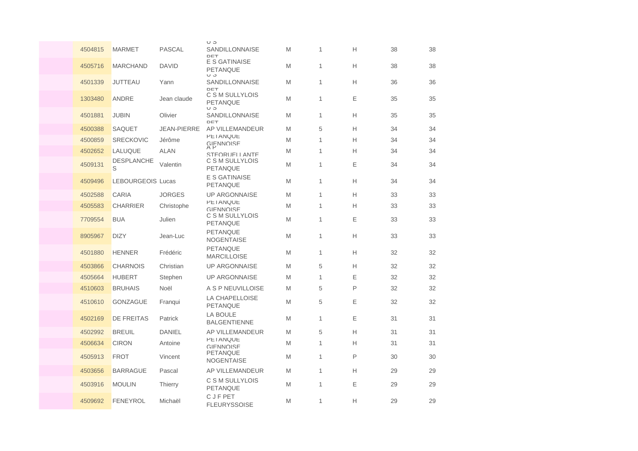|         |                          |                    | ပ ၁                                       |   |              |   |    |    |
|---------|--------------------------|--------------------|-------------------------------------------|---|--------------|---|----|----|
| 4504815 | MARMET                   | <b>PASCAL</b>      | SANDILLONNAISE<br>DET                     | M | 1            | Н | 38 | 38 |
| 4505716 | <b>MARCHAND</b>          | <b>DAVID</b>       | E S GATINAISE<br><b>PETANQUE</b><br>ပ ၁   | M | $\mathbf{1}$ | Н | 38 | 38 |
| 4501339 | <b>JUTTEAU</b>           | Yann               | SANDILLONNAISE<br>DET                     | M | 1            | Н | 36 | 36 |
| 1303480 | ANDRE                    | Jean claude        | C S M SULLYLOIS<br><b>PETANQUE</b><br>U J | M | 1            | Е | 35 | 35 |
| 4501881 | <b>JUBIN</b>             | Olivier            | <b>SANDILLONNAISE</b><br>DET              | M | $\mathbf{1}$ | Н | 35 | 35 |
| 4500388 | <b>SAQUET</b>            | <b>JEAN-PIERRE</b> | AP VILLEMANDEUR                           | M | 5            | Н | 34 | 34 |
| 4500859 | <b>SRECKOVIC</b>         | Jérôme             | <b>PETANQUE</b><br>GIENNOISE              | M | 1            | Н | 34 | 34 |
| 4502652 | LALUQUE                  | <b>ALAN</b>        | STFORUFLI ANTF                            | M | 1            | Н | 34 | 34 |
| 4509131 | DESPLANCHE<br>S          | Valentin           | C S M SULLYLOIS<br><b>PETANQUE</b>        | M | $\mathbf{1}$ | Ε | 34 | 34 |
| 4509496 | <b>LEBOURGEOIS Lucas</b> |                    | E S GATINAISE<br>PETANQUE                 | M | 1            | Н | 34 | 34 |
| 4502588 | <b>CARIA</b>             | <b>JORGES</b>      | <b>UP ARGONNAISE</b>                      | M | 1            | Н | 33 | 33 |
| 4505583 | <b>CHARRIER</b>          | Christophe         | <b>PETANQUE</b><br>GIFNNOISE              | M | $\mathbf{1}$ | Н | 33 | 33 |
| 7709554 | <b>BUA</b>               | Julien             | C S M SULLYLOIS<br><b>PETANQUE</b>        | M | 1            | Ε | 33 | 33 |
| 8905967 | <b>DIZY</b>              | Jean-Luc           | <b>PETANQUE</b><br><b>NOGENTAISE</b>      | M | $\mathbf{1}$ | Н | 33 | 33 |
| 4501880 | <b>HENNER</b>            | Frédéric           | <b>PETANQUE</b><br><b>MARCILLOISE</b>     | M | 1            | Н | 32 | 32 |
| 4503866 | <b>CHARNOIS</b>          | Christian          | <b>UP ARGONNAISE</b>                      | M | 5            | Н | 32 | 32 |
| 4505664 | <b>HUBERT</b>            | Stephen            | <b>UP ARGONNAISE</b>                      | M | $\mathbf{1}$ | Ε | 32 | 32 |
| 4510603 | <b>BRUHAIS</b>           | Noël               | A S P NEUVILLOISE                         | M | 5            | P | 32 | 32 |
| 4510610 | <b>GONZAGUE</b>          | Franqui            | LA CHAPELLOISE<br><b>PETANQUE</b>         | M | 5            | Ε | 32 | 32 |
| 4502169 | <b>DE FREITAS</b>        | Patrick            | <b>LA BOULE</b><br><b>BALGENTIENNE</b>    | M | 1            | Ε | 31 | 31 |
| 4502992 | <b>BREUIL</b>            | <b>DANIEL</b>      | AP VILLEMANDEUR                           | M | 5            | Н | 31 | 31 |
| 4506634 | <b>CIRON</b>             | Antoine            | <b>PETANQUE</b><br><b>GIFNNOISE</b>       | M | 1            | Н | 31 | 31 |
| 4505913 | <b>FROT</b>              | Vincent            | PETANQUE<br><b>NOGENTAISE</b>             | M | 1            | P | 30 | 30 |
| 4503656 | <b>BARRAGUE</b>          | Pascal             | AP VILLEMANDEUR                           | M | $\mathbf{1}$ | Н | 29 | 29 |
| 4503916 | <b>MOULIN</b>            | <b>Thierry</b>     | C S M SULLYLOIS<br>PETANQUE               | M | 1            | Ε | 29 | 29 |
| 4509692 | <b>FENEYROL</b>          | Michaël            | C J F PET<br><b>FLEURYSSOISE</b>          | M | 1            | Н | 29 | 29 |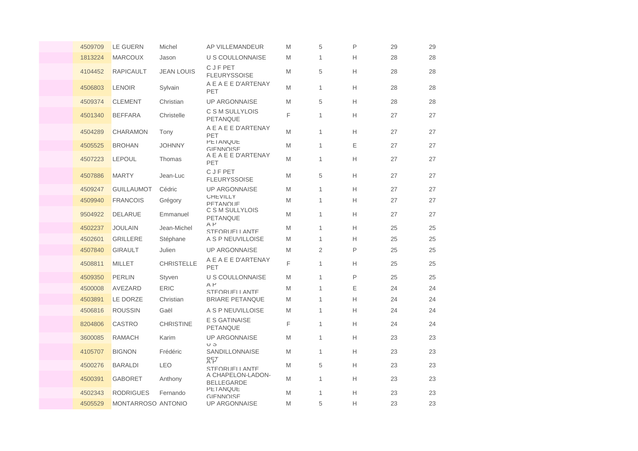| 4509709 | <b>LE GUERN</b>    | Michel            | AP VILLEMANDEUR                         | M | 5              | P | 29 | 29 |
|---------|--------------------|-------------------|-----------------------------------------|---|----------------|---|----|----|
| 1813224 | <b>MARCOUX</b>     | Jason             | <b>U S COULLONNAISE</b>                 | M | $\mathbf{1}$   | H | 28 | 28 |
| 4104452 | <b>RAPICAULT</b>   | <b>JEAN LOUIS</b> | <b>CJFPET</b><br><b>FLEURYSSOISE</b>    | M | 5              | H | 28 | 28 |
| 4506803 | <b>LENOIR</b>      | Sylvain           | A E A E E D'ARTENAY<br>PET              | M | $\mathbf{1}$   | H | 28 | 28 |
| 4509374 | <b>CLEMENT</b>     | Christian         | <b>UP ARGONNAISE</b>                    | M | $\sqrt{5}$     | H | 28 | 28 |
| 4501340 | <b>BEFFARA</b>     | Christelle        | C S M SULLYLOIS<br>PETANQUE             | F | $\mathbf{1}$   | H | 27 | 27 |
| 4504289 | <b>CHARAMON</b>    | Tony              | A E A E E D'ARTENAY<br>PET              | M | $\mathbf{1}$   | H | 27 | 27 |
| 4505525 | <b>BROHAN</b>      | <b>JOHNNY</b>     | <b>PETANQUE</b><br>GIFNNOISE            | M | $\mathbf{1}$   | E | 27 | 27 |
| 4507223 | <b>LEPOUL</b>      | Thomas            | A E A E E D'ARTENAY<br>PET              | M | $\mathbf{1}$   | H | 27 | 27 |
| 4507886 | <b>MARTY</b>       | Jean-Luc          | <b>CJFPET</b><br><b>FLEURYSSOISE</b>    | M | 5              | H | 27 | 27 |
| 4509247 | <b>GUILLAUMOT</b>  | Cédric            | <b>UP ARGONNAISE</b>                    | M | $\mathbf{1}$   | H | 27 | 27 |
| 4509940 | <b>FRANCOIS</b>    | Grégory           | <b>UHEVILLY</b><br>PFTANOUF             | M | $\mathbf{1}$   | H | 27 | 27 |
| 9504922 | <b>DELARUE</b>     | Emmanuel          | C S M SULLYLOIS<br>PETANQUE             | M | $\mathbf{1}$   | H | 27 | 27 |
| 4502237 | <b>JOULAIN</b>     | Jean-Michel       | $A$ $P$<br>STFORUFLI ANTF               | M | 1              | H | 25 | 25 |
| 4502601 | <b>GRILLERE</b>    | Stéphane          | A S P NEUVILLOISE                       | M | $\mathbf{1}$   | H | 25 | 25 |
| 4507840 | <b>GIRAULT</b>     | Julien            | <b>UP ARGONNAISE</b>                    | M | $\overline{2}$ | P | 25 | 25 |
| 4508811 | MILLET             | <b>CHRISTELLE</b> | A E A E E D'ARTENAY<br>PET              | F | $\mathbf{1}$   | H | 25 | 25 |
| 4509350 | <b>PERLIN</b>      | Styven            | U S COULLONNAISE                        | M | $\mathbf{1}$   | P | 25 | 25 |
| 4500008 | AVEZARD            | <b>ERIC</b>       | $A$ $P$<br>STEORUELL ANTE               | M | $\mathbf{1}$   | Ε | 24 | 24 |
| 4503891 | <b>LE DORZE</b>    | Christian         | <b>BRIARE PETANQUE</b>                  | M | $\mathbf{1}$   | H | 24 | 24 |
| 4506816 | <b>ROUSSIN</b>     | Gaël              | A S P NEUVILLOISE                       | M | $\mathbf{1}$   | H | 24 | 24 |
| 8204806 | <b>CASTRO</b>      | <b>CHRISTINE</b>  | <b>E S GATINAISE</b><br><b>PETANQUE</b> | F | $\mathbf{1}$   | H | 24 | 24 |
| 3600085 | <b>RAMACH</b>      | Karim             | <b>UP ARGONNAISE</b><br>U J             | M | $\mathbf{1}$   | H | 23 | 23 |
| 4105707 | <b>BIGNON</b>      | Frédéric          | SANDILLONNAISE<br>양단                    | M | $\mathbf{1}$   | H | 23 | 23 |
| 4500276 | <b>BARALDI</b>     | <b>LEO</b>        | STEORUELL ANTE                          | M | 5              | H | 23 | 23 |
| 4500391 | <b>GABORET</b>     | Anthony           | A CHAPELON-LADON-<br><b>BELLEGARDE</b>  | M | $\mathbf{1}$   | H | 23 | 23 |
| 4502343 | <b>RODRIGUES</b>   | Fernando          | <b>PETANQUE</b><br>GIFNNOISE            | M | $\mathbf{1}$   | H | 23 | 23 |
| 4505529 | MONTARROSO ANTONIO |                   | <b>UP ARGONNAISE</b>                    | M | 5              | Н | 23 | 23 |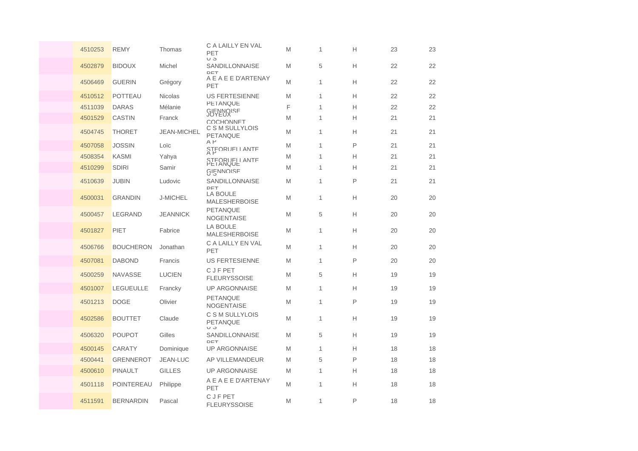| 4510253 | <b>REMY</b>      | Thomas             | C A LAILLY EN VAL<br>PET<br>U J      | M | 1 | Н | 23 | 23 |
|---------|------------------|--------------------|--------------------------------------|---|---|---|----|----|
| 4502879 | <b>BIDOUX</b>    | Michel             | SANDILLONNAISE<br>DET                | M | 5 | Н | 22 | 22 |
| 4506469 | <b>GUERIN</b>    | Grégory            | A E A E E D'ARTENAY<br><b>PET</b>    | M | 1 | Н | 22 | 22 |
| 4510512 | <b>POTTEAU</b>   | <b>Nicolas</b>     | <b>US FERTESIENNE</b>                | M | 1 | Н | 22 | 22 |
| 4511039 | <b>DARAS</b>     | Mélanie            | <b>PETANQUE</b>                      | F | 1 | Н | 22 | 22 |
| 4501529 | <b>CASTIN</b>    | Franck             | GIFNNOISE<br>COCHONNET               | M | 1 | Н | 21 | 21 |
| 4504745 | <b>THORET</b>    | <b>JEAN-MICHEL</b> | C S M SULLYLOIS<br><b>PETANQUE</b>   | M | 1 | Н | 21 | 21 |
| 4507058 | <b>JOSSIN</b>    | Loïc               | $A$ $P$<br>STEORUELLANTE             | M | 1 | P | 21 | 21 |
| 4508354 | <b>KASMI</b>     | Yahya              | STEORUELLANTE                        | M | 1 | Н | 21 | 21 |
| 4510299 | <b>SDIRI</b>     | Samir              | GIENNOISE                            | M | 1 | Н | 21 | 21 |
| 4510639 | <b>JUBIN</b>     | Ludovic            | SANDILLONNAISE<br>DET                | M | 1 | P | 21 | 21 |
| 4500031 | <b>GRANDIN</b>   | <b>J-MICHEL</b>    | LA BOULE<br><b>MALESHERBOISE</b>     | M | 1 | Н | 20 | 20 |
| 4500457 | <b>LEGRAND</b>   | <b>JEANNICK</b>    | <b>PETANQUE</b><br><b>NOGENTAISE</b> | M | 5 | Н | 20 | 20 |
| 4501827 | PIET             | Fabrice            | LA BOULE<br><b>MALESHERBOISE</b>     | M | 1 | Н | 20 | 20 |
| 4506766 | <b>BOUCHERON</b> | Jonathan           | C A LAILLY EN VAL<br>PET             | M | 1 | Н | 20 | 20 |
| 4507081 | <b>DABOND</b>    | Francis            | <b>US FERTESIENNE</b>                | M | 1 | P | 20 | 20 |
| 4500259 | <b>NAVASSE</b>   | <b>LUCIEN</b>      | <b>CJFPET</b><br><b>FLEURYSSOISE</b> | M | 5 | Н | 19 | 19 |
| 4501007 | <b>LEGUEULLE</b> | Francky            | <b>UP ARGONNAISE</b>                 | M | 1 | Н | 19 | 19 |
| 4501213 | <b>DOGE</b>      | Olivier            | PETANQUE<br><b>NOGENTAISE</b>        | M | 1 | P | 19 | 19 |
| 4502586 | <b>BOUTTET</b>   | Claude             | C S M SULLYLOIS<br>PETANQUE<br>ပ ပ   | M | 1 | Н | 19 | 19 |
| 4506320 | <b>POUPOT</b>    | Gilles             | SANDILLONNAISE<br>DET                | M | 5 | Н | 19 | 19 |
| 4500145 | <b>CARATY</b>    | Dominique          | <b>UP ARGONNAISE</b>                 | M | 1 | Н | 18 | 18 |
| 4500441 | <b>GRENNEROT</b> | JEAN-LUC           | <b>AP VILLEMANDEUR</b>               | M | 5 | P | 18 | 18 |
| 4500610 | PINAULT          | <b>GILLES</b>      | <b>UP ARGONNAISE</b>                 | M | 1 | Н | 18 | 18 |
| 4501118 | POINTEREAU       | Philippe           | A E A E E D'ARTENAY<br>PET           | M | 1 | Н | 18 | 18 |
| 4511591 | <b>BERNARDIN</b> | Pascal             | <b>CJFPET</b><br><b>FLEURYSSOISE</b> | M | 1 | P | 18 | 18 |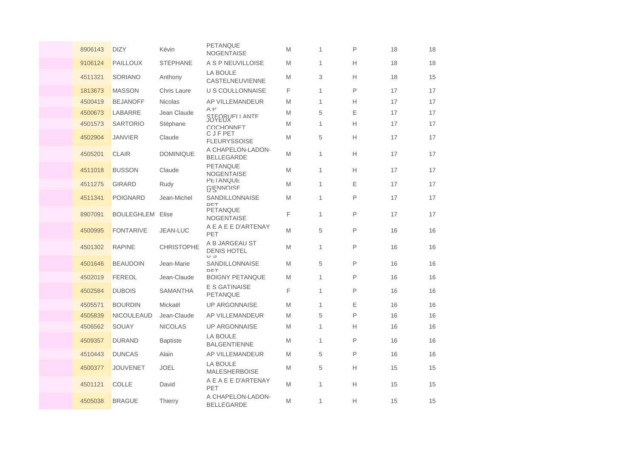| 8906143 | <b>DIZY</b>             | Kévin             | <b>PETANQUE</b><br><b>NOGENTAISE</b>   | M | $\mathbf{1}$ | P            | 18 | 18 |
|---------|-------------------------|-------------------|----------------------------------------|---|--------------|--------------|----|----|
| 9106124 | <b>PAILLOUX</b>         | <b>STEPHANE</b>   | A S P NEUVILLOISE                      | M | 1            | Н            | 18 | 18 |
| 4511321 | SORIANO                 | Anthony           | <b>LA BOULE</b><br>CASTELNEUVIENNE     | M | 3            | H            | 18 | 15 |
| 1813673 | <b>MASSON</b>           | Chris Laure       | U S COULLONNAISE                       | F | $\mathbf{1}$ | P            | 17 | 17 |
| 4500419 | <b>BEJANOFF</b>         | <b>Nicolas</b>    | AP VILLEMANDEUR                        | M | $\mathbf{1}$ | H            | 17 | 17 |
| 4500673 | LABARRE                 | Jean Claude       | $A$ $P$<br>STEORUFI I ANTE<br>JUYEUX   | M | 5            | Е            | 17 | 17 |
| 4501573 | <b>SARTORIO</b>         | Stéphane          | COCHONNET                              | M | $\mathbf{1}$ | Н            | 17 | 17 |
| 4502904 | <b>JANVIER</b>          | Claude            | <b>CJFPET</b><br><b>FLEURYSSOISE</b>   | M | 5            | H            | 17 | 17 |
| 4505201 | <b>CLAIR</b>            | <b>DOMINIQUE</b>  | A CHAPELON-LADON-<br><b>BELLEGARDE</b> | M | 1            | H            | 17 | 17 |
| 4511018 | <b>BUSSON</b>           | Claude            | <b>PETANQUE</b><br><b>NOGENTAISE</b>   | M | $\mathbf{1}$ | H            | 17 | 17 |
| 4511275 | <b>GIRARD</b>           | Rudy              | <b>PETANQUE</b><br>GIENNOISE           | M | 1            | Ε            | 17 | 17 |
| 4511341 | <b>POIGNARD</b>         | Jean-Michel       | <b>SANDILLONNAISE</b><br>DET           | M | $\mathbf{1}$ | P            | 17 | 17 |
| 8907091 | <b>BOULEGHLEM Elise</b> |                   | PETANQUE<br><b>NOGENTAISE</b>          | F | $\mathbf{1}$ | P            | 17 | 17 |
| 4500995 | <b>FONTARIVE</b>        | JEAN-LUC          | A E A E E D'ARTENAY<br>PET             | M | $\sqrt{5}$   | $\mathsf{P}$ | 16 | 16 |
| 4501302 | <b>RAPINE</b>           | <b>CHRISTOPHE</b> | A B JARGEAU ST<br><b>DENIS HOTEL</b>   | M | $\mathbf{1}$ | P            | 16 | 16 |
| 4501646 | <b>BEAUDOIN</b>         | Jean-Marie        | ပ ၁<br>SANDILLONNAISE<br>DET           | M | 5            | P            | 16 | 16 |
| 4502019 | <b>FEREOL</b>           | Jean-Claude       | <b>BOIGNY PETANQUE</b>                 | M | $\mathbf{1}$ | P            | 16 | 16 |
| 4502584 | <b>DUBOIS</b>           | <b>SAMANTHA</b>   | E S GATINAISE<br>PETANQUE              | F | 1            | P            | 16 | 16 |
| 4505571 | <b>BOURDIN</b>          | Mickaël           | <b>UP ARGONNAISE</b>                   | M | $\mathbf{1}$ | Ε            | 16 | 16 |
| 4505839 | <b>NICOULEAUD</b>       | Jean-Claude       | AP VILLEMANDEUR                        | M | 5            | P            | 16 | 16 |
| 4506562 | SOUAY                   | <b>NICOLAS</b>    | <b>UP ARGONNAISE</b>                   | M | 1            | Н            | 16 | 16 |
| 4509357 | <b>DURAND</b>           | <b>Baptiste</b>   | <b>LA BOULE</b><br><b>BALGENTIENNE</b> | M | $\mathbf{1}$ | P            | 16 | 16 |
| 4510443 | <b>DUNCAS</b>           | Alain             | AP VILLEMANDEUR                        | M | $\sqrt{5}$   | P            | 16 | 16 |
| 4500377 | <b>JOUVENET</b>         | <b>JOEL</b>       | LA BOULE<br><b>MALESHERBOISE</b>       | M | 5            | Н            | 15 | 15 |
| 4501121 | <b>COLLE</b>            | David             | A E A E E D'ARTENAY<br>PET             | M | $\mathbf{1}$ | H            | 15 | 15 |
| 4505038 | <b>BRAGUE</b>           | Thierry           | A CHAPELON-LADON-<br><b>BELLEGARDE</b> | M | $\mathbf{1}$ | Н            | 15 | 15 |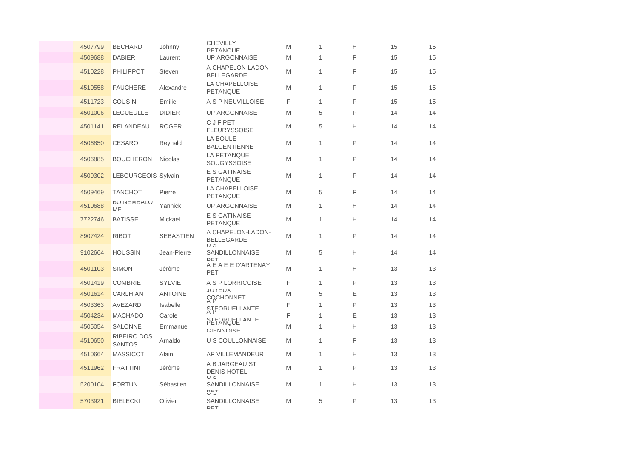| 4507799 | <b>BECHARD</b>               | Johnny           | <b>CHEVILLY</b><br>PFTANOLIF                 | M | 1            | Н            | 15 | 15 |
|---------|------------------------------|------------------|----------------------------------------------|---|--------------|--------------|----|----|
| 4509688 | <b>DABIER</b>                | Laurent          | <b>UP ARGONNAISE</b>                         | M | 1            | P            | 15 | 15 |
| 4510228 | <b>PHILIPPOT</b>             | Steven           | A CHAPELON-LADON-<br><b>BELLEGARDE</b>       | M | 1            | P            | 15 | 15 |
| 4510558 | <b>FAUCHERE</b>              | Alexandre        | <b>LA CHAPELLOISE</b><br><b>PETANQUE</b>     | M | $\mathbf{1}$ | P            | 15 | 15 |
| 4511723 | <b>COUSIN</b>                | Emilie           | A S P NEUVILLOISE                            | F | 1            | P            | 15 | 15 |
| 4501006 | <b>LEGUEULLE</b>             | <b>DIDIER</b>    | <b>UP ARGONNAISE</b>                         | M | 5            | P            | 14 | 14 |
| 4501141 | RELANDEAU                    | <b>ROGER</b>     | C J F PET<br><b>FLEURYSSOISE</b>             | M | 5            | Н            | 14 | 14 |
| 4506850 | <b>CESARO</b>                | Reynald          | <b>LA BOULE</b><br><b>BALGENTIENNE</b>       | M | $\mathbf{1}$ | P            | 14 | 14 |
| 4506885 | <b>BOUCHERON</b>             | <b>Nicolas</b>   | <b>LA PETANQUE</b><br><b>SOUGYSSOISE</b>     | M | 1            | $\mathsf{P}$ | 14 | 14 |
| 4509302 | LEBOURGEOIS Sylvain          |                  | <b>E S GATINAISE</b><br><b>PETANQUE</b>      | M | $\mathbf{1}$ | P            | 14 | 14 |
| 4509469 | <b>TANCHOT</b>               | Pierre           | <b>LA CHAPELLOISE</b><br><b>PETANQUE</b>     | M | 5            | P            | 14 | 14 |
| 4510688 | <b>BOINEMBALO</b><br>MF      | Yannick          | <b>UP ARGONNAISE</b>                         | M | 1            | Н            | 14 | 14 |
| 7722746 | <b>BATISSE</b>               | Mickael          | <b>E S GATINAISE</b><br><b>PETANQUE</b>      | M | 1            | Н            | 14 | 14 |
| 8907424 | <b>RIBOT</b>                 | <b>SEBASTIEN</b> | A CHAPELON-LADON-<br><b>BELLEGARDE</b><br>ပေ | M | 1            | P            | 14 | 14 |
| 9102664 | <b>HOUSSIN</b>               | Jean-Pierre      | SANDILLONNAISE<br>DET                        | M | 5            | Н            | 14 | 14 |
| 4501103 | <b>SIMON</b>                 | Jérôme           | A E A E E D'ARTENAY<br>PET                   | M | 1            | H            | 13 | 13 |
| 4501419 | <b>COMBRIE</b>               | <b>SYLVIE</b>    | A S P LORRICOISE                             | F | 1            | P            | 13 | 13 |
| 4501614 | <b>CARLHIAN</b>              | <b>ANTOINE</b>   | <b>JOYEUX</b><br>COCHONNET                   | M | 5            | E            | 13 | 13 |
| 4503363 | AVEZARD                      | Isabelle         | STEORIJELI ANTE                              | F | 1            | P            | 13 | 13 |
| 4504234 | <b>MACHADO</b>               | Carole           | STEORUELL ANTE                               | F | $\mathbf{1}$ | Ε            | 13 | 13 |
| 4505054 | SALONNE                      | Emmanuel         | <b>GIFNNOISE</b>                             | M | $\mathbf{1}$ | Н            | 13 | 13 |
| 4510650 | RIBEIRO DOS<br><b>SANTOS</b> | Arnaldo          | U S COULLONNAISE                             | M | 1            | P            | 13 | 13 |
| 4510664 | <b>MASSICOT</b>              | Alain            | AP VILLEMANDEUR                              | M | $\mathbf{1}$ | Н            | 13 | 13 |
| 4511962 | <b>FRATTINI</b>              | Jérôme           | A B JARGEAU ST<br><b>DENIS HOTEL</b><br>כ ט  | M | $\mathbf{1}$ | P            | 13 | 13 |
| 5200104 | <b>FORTUN</b>                | Sébastien        | SANDILLONNAISE<br><b>BET</b>                 | M | 1            | Н            | 13 | 13 |
| 5703921 | <b>BIELECKI</b>              | Olivier          | <b>SANDILLONNAISE</b><br>DET                 | M | 5            | P            | 13 | 13 |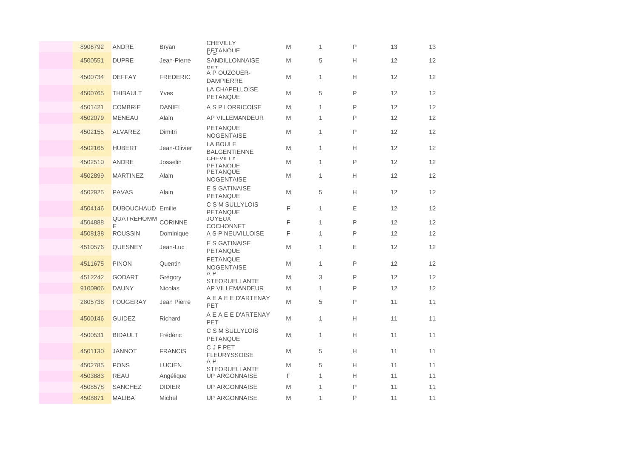| 8906792 | <b>ANDRE</b>             | <b>Bryan</b>    | <b>CHEVILLY</b><br><b>BETANOLIE</b>     | M | $\mathbf{1}$ | P            | 13 | 13 |
|---------|--------------------------|-----------------|-----------------------------------------|---|--------------|--------------|----|----|
| 4500551 | <b>DUPRE</b>             | Jean-Pierre     | <b>SANDILLONNAISE</b><br>DET            | M | 5            | Н            | 12 | 12 |
| 4500734 | <b>DEFFAY</b>            | <b>FREDERIC</b> | A P OUZOUER-<br><b>DAMPIERRE</b>        | M | $\mathbf{1}$ | Н            | 12 | 12 |
| 4500765 | <b>THIBAULT</b>          | Yves            | LA CHAPELLOISE<br><b>PETANQUE</b>       | M | 5            | P            | 12 | 12 |
| 4501421 | <b>COMBRIE</b>           | <b>DANIEL</b>   | A S P LORRICOISE                        | M | 1            | P            | 12 | 12 |
| 4502079 | <b>MENEAU</b>            | Alain           | AP VILLEMANDEUR                         | M | 1            | P            | 12 | 12 |
| 4502155 | <b>ALVAREZ</b>           | Dimitri         | <b>PETANQUE</b><br><b>NOGENTAISE</b>    | M | 1            | P            | 12 | 12 |
| 4502165 | <b>HUBERT</b>            | Jean-Olivier    | LA BOULE<br><b>BALGENTIENNE</b>         | M | $\mathbf{1}$ | H            | 12 | 12 |
| 4502510 | ANDRE                    | Josselin        | <b>CHEVILLY</b><br>PFTANOLIF            | M | $\mathbf{1}$ | P            | 12 | 12 |
| 4502899 | <b>MARTINEZ</b>          | Alain           | <b>PETANQUE</b><br><b>NOGENTAISE</b>    | M | $\mathbf{1}$ | H            | 12 | 12 |
| 4502925 | <b>PAVAS</b>             | Alain           | <b>E S GATINAISE</b><br>PETANQUE        | M | 5            | Н            | 12 | 12 |
| 4504146 | <b>DUBOUCHAUD Emilie</b> |                 | C S M SULLYLOIS<br><b>PETANQUE</b>      | F | 1            | Ε            | 12 | 12 |
| 4504888 | <b>QUAIREHOMM</b><br>E   | CORINNE         | <b>JOYEUX</b><br>COCHONNET              | F | 1            | P            | 12 | 12 |
| 4508138 | <b>ROUSSIN</b>           | Dominique       | A S P NEUVILLOISE                       | F | $\mathbf{1}$ | P            | 12 | 12 |
| 4510576 | <b>QUESNEY</b>           | Jean-Luc        | <b>E S GATINAISE</b><br><b>PETANQUE</b> | M | 1            | E            | 12 | 12 |
| 4511675 | <b>PINON</b>             | Quentin         | <b>PETANQUE</b><br><b>NOGENTAISE</b>    | M | 1            | P            | 12 | 12 |
| 4512242 | <b>GODART</b>            | Grégory         | $A$ $P$<br>STEORUELL ANTE               | M | 3            | P            | 12 | 12 |
| 9100906 | <b>DAUNY</b>             | <b>Nicolas</b>  | AP VILLEMANDEUR                         | M | 1            | P            | 12 | 12 |
| 2805738 | <b>FOUGERAY</b>          | Jean Pierre     | A E A E E D'ARTENAY<br>PET              | M | 5            | P            | 11 | 11 |
| 4500146 | <b>GUIDEZ</b>            | Richard         | A E A E E D'ARTENAY<br>PET              | M | $\mathbf{1}$ | H            | 11 | 11 |
| 4500531 | <b>BIDAULT</b>           | Frédéric        | C S M SULLYLOIS<br><b>PETANQUE</b>      | M | 1            | Н            | 11 | 11 |
| 4501130 | <b>JANNOT</b>            | <b>FRANCIS</b>  | C J F PET<br><b>FLEURYSSOISE</b>        | M | 5            | Н            | 11 | 11 |
| 4502785 | <b>PONS</b>              | <b>LUCIEN</b>   | $A$ $P$<br>STEORUELL ANTE               | M | 5            | Н            | 11 | 11 |
| 4503883 | <b>REAU</b>              | Angélique       | <b>UP ARGONNAISE</b>                    | F | $\mathbf{1}$ | Н            | 11 | 11 |
| 4508578 | <b>SANCHEZ</b>           | <b>DIDIER</b>   | <b>UP ARGONNAISE</b>                    | M | 1            | $\mathsf{P}$ | 11 | 11 |
| 4508871 | <b>MALIBA</b>            | Michel          | <b>UP ARGONNAISE</b>                    | M | $\mathbf{1}$ | P            | 11 | 11 |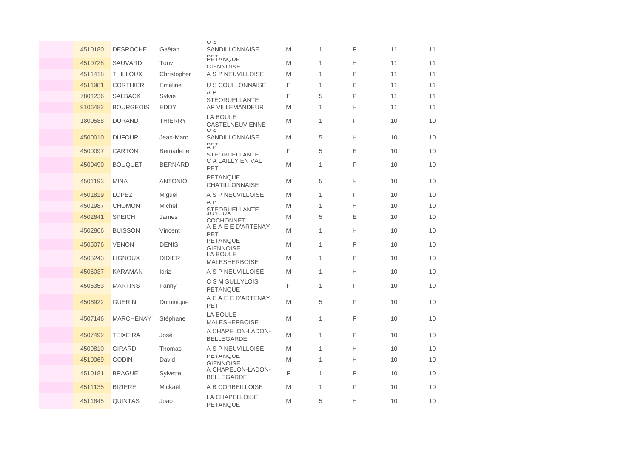|         |                  |                   | U J                                           |   |   |              |    |    |
|---------|------------------|-------------------|-----------------------------------------------|---|---|--------------|----|----|
| 4510180 | <b>DESROCHE</b>  | Gaêtan            | SANDILLONNAISE                                | M | 1 | P            | 11 | 11 |
| 4510728 | SAUVARD          | Tony              | PETANQUE<br><b>GIFNNOISE</b>                  | M | 1 | Н            | 11 | 11 |
| 4511418 | <b>THILLOUX</b>  | Christopher       | A S P NEUVILLOISE                             | M | 1 | P            | 11 | 11 |
| 4511981 | <b>CORTHIER</b>  | Emeline           | <b>U S COULLONNAISE</b>                       | F | 1 | P            | 11 | 11 |
| 7801236 | <b>SALBACK</b>   | Sylvie            | $A$ $P$<br>STEORUELL ANTE                     | F | 5 | $\mathsf{P}$ | 11 | 11 |
| 9106482 | <b>BOURGEOIS</b> | <b>EDDY</b>       | AP VILLEMANDEUR                               | M | 1 | Н            | 11 | 11 |
| 1800588 | <b>DURAND</b>    | <b>THIERRY</b>    | LA BOULE<br>CASTELNEUVIENNE<br>$\cup$ $\circ$ | M | 1 | P            | 10 | 10 |
| 4500010 | <b>DUFOUR</b>    | Jean-Marc         | SANDILLONNAISE<br>유단                          | M | 5 | Н            | 10 | 10 |
| 4500097 | <b>CARTON</b>    | <b>Bernadette</b> | STEORUELL ANTE                                | F | 5 | E            | 10 | 10 |
| 4500490 | <b>BOUQUET</b>   | <b>BERNARD</b>    | C A LAILLY EN VAL<br>PET                      | M | 1 | P            | 10 | 10 |
| 4501193 | <b>MINA</b>      | <b>ANTONIO</b>    | PETANQUE<br><b>CHATILLONNAISE</b>             | M | 5 | Н            | 10 | 10 |
| 4501819 | <b>LOPEZ</b>     | Miguel            | A S P NEUVILLOISE                             | M | 1 | P            | 10 | 10 |
| 4501987 | <b>CHOMONT</b>   | Michel            | $A$ $P$<br>STEORUELLANTE                      | M | 1 | Н            | 10 | 10 |
| 4502641 | <b>SPEICH</b>    | James             | <b>COCHONNET</b>                              | M | 5 | Ε            | 10 | 10 |
| 4502866 | <b>BUISSON</b>   | Vincent           | A E A E E D'ARTENAY<br>PET                    | M | 1 | Н            | 10 | 10 |
| 4505076 | <b>VENON</b>     | <b>DENIS</b>      | <b>PETANQUE</b><br>GIFNNOISE                  | M | 1 | P            | 10 | 10 |
| 4505243 | <b>LIGNOUX</b>   | <b>DIDIER</b>     | LA BOULE<br><b>MALESHERBOISE</b>              | M | 1 | P            | 10 | 10 |
| 4506037 | <b>KARAMAN</b>   | Idriz             | A S P NEUVILLOISE                             | M | 1 | Н            | 10 | 10 |
| 4506353 | <b>MARTINS</b>   | Fanny             | C S M SULLYLOIS<br><b>PETANQUE</b>            | F | 1 | P            | 10 | 10 |
| 4506922 | <b>GUERIN</b>    | Dominique         | A E A E E D'ARTENAY<br>PET                    | M | 5 | P            | 10 | 10 |
| 4507146 | <b>MARCHENAY</b> | Stéphane          | <b>LA BOULE</b><br><b>MALESHERBOISE</b>       | M | 1 | P            | 10 | 10 |
| 4507492 | <b>TEIXEIRA</b>  | José              | A CHAPELON-LADON-<br><b>BELLEGARDE</b>        | M | 1 | P            | 10 | 10 |
| 4509810 | <b>GIRARD</b>    | Thomas            | A S P NEUVILLOISE                             | M | 1 | Н            | 10 | 10 |
| 4510069 | <b>GODIN</b>     | David             | <b>PETANQUE</b><br><b>GIFNNOISE</b>           | M | 1 | Н            | 10 | 10 |
| 4510181 | <b>BRAGUE</b>    | Sylvette          | A CHAPELON-LADON-<br><b>BELLEGARDE</b>        | F | 1 | P            | 10 | 10 |
| 4511135 | <b>BIZIERE</b>   | Mickaël           | A B CORBEILLOISE                              | M | 1 | $\mathsf{P}$ | 10 | 10 |
| 4511645 | <b>QUINTAS</b>   | Joao              | LA CHAPELLOISE<br>PETANQUE                    | M | 5 | Н            | 10 | 10 |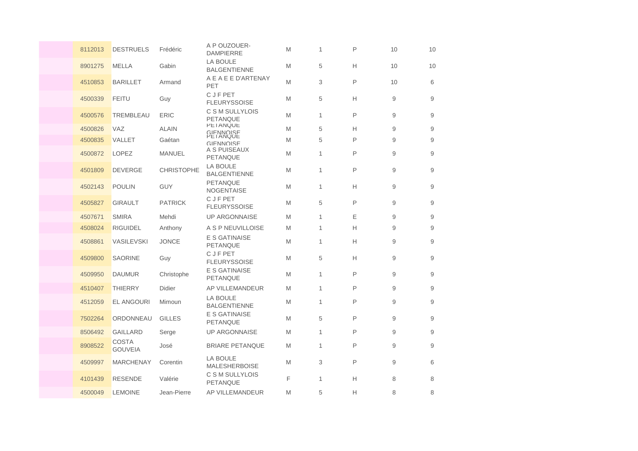| 8112013 | <b>DESTRUELS</b>               | Frédéric          | A P OUZOUER-<br><b>DAMPIERRE</b>         | M | $\mathbf{1}$ | P | 10 | 10 |
|---------|--------------------------------|-------------------|------------------------------------------|---|--------------|---|----|----|
| 8901275 | <b>MELLA</b>                   | Gabin             | <b>LA BOULE</b><br><b>BALGENTIENNE</b>   | M | 5            | Н | 10 | 10 |
| 4510853 | <b>BARILLET</b>                | Armand            | A E A E E D'ARTENAY<br>PET               | M | 3            | P | 10 | 6  |
| 4500339 | <b>FEITU</b>                   | Guy               | <b>CJFPET</b><br><b>FLEURYSSOISE</b>     | M | 5            | Н | 9  | 9  |
| 4500576 | TREMBLEAU                      | <b>ERIC</b>       | C S M SULLYLOIS<br><b>PETANQUE</b>       | M | 1            | P | 9  | 9  |
| 4500826 | <b>VAZ</b>                     | <b>ALAIN</b>      | <b>PETANQUE</b><br>GIFNNOISE<br>PETANQUE | M | 5            | Н | 9  | 9  |
| 4500835 | VALLET                         | Gaétan            | GIFNNOISE                                | M | 5            | P | 9  | 9  |
| 4500872 | <b>LOPEZ</b>                   | <b>MANUEL</b>     | A S PUISEAUX<br><b>PETANQUE</b>          | M | $\mathbf{1}$ | P | 9  | 9  |
| 4501809 | <b>DEVERGE</b>                 | <b>CHRISTOPHE</b> | LA BOULE<br><b>BALGENTIENNE</b>          | M | 1            | P | 9  | 9  |
| 4502143 | <b>POULIN</b>                  | <b>GUY</b>        | <b>PETANQUE</b><br>NOGENTAISE            | M | 1            | Н | 9  | 9  |
| 4505827 | <b>GIRAULT</b>                 | <b>PATRICK</b>    | C J F PET<br><b>FLEURYSSOISE</b>         | M | 5            | P | 9  | 9  |
| 4507671 | <b>SMIRA</b>                   | Mehdi             | <b>UP ARGONNAISE</b>                     | M | $\mathbf{1}$ | Ε | 9  | 9  |
| 4508024 | <b>RIGUIDEL</b>                | Anthony           | A S P NEUVILLOISE                        | M | 1            | Н | 9  | 9  |
| 4508861 | VASILEVSKI                     | <b>JONCE</b>      | E S GATINAISE<br>PETANQUE                | M | 1            | Н | 9  | 9  |
| 4509800 | <b>SAORINE</b>                 | Guy               | <b>CJFPET</b><br><b>FLEURYSSOISE</b>     | M | 5            | н | 9  | 9  |
| 4509950 | <b>DAUMUR</b>                  | Christophe        | <b>E S GATINAISE</b><br><b>PETANQUE</b>  | M | $\mathbf{1}$ | P | 9  | 9  |
| 4510407 | <b>THIERRY</b>                 | <b>Didier</b>     | AP VILLEMANDEUR                          | M | 1            | P | 9  | 9  |
| 4512059 | <b>EL ANGOURI</b>              | Mimoun            | <b>LA BOULE</b><br><b>BALGENTIENNE</b>   | M | 1            | P | 9  | 9  |
| 7502264 | ORDONNEAU                      | <b>GILLES</b>     | E S GATINAISE<br><b>PETANQUE</b>         | M | 5            | P | 9  | 9  |
| 8506492 | <b>GAILLARD</b>                | Serge             | <b>UP ARGONNAISE</b>                     | M | 1            | P | 9  | 9  |
| 8908522 | <b>COSTA</b><br><b>GOUVEIA</b> | José              | <b>BRIARE PETANQUE</b>                   | M | 1            | P | 9  | 9  |
| 4509997 | <b>MARCHENAY</b>               | Corentin          | LA BOULE<br><b>MALESHERBOISE</b>         | M | 3            | P | 9  | 6  |
| 4101439 | <b>RESENDE</b>                 | Valérie           | C S M SULLYLOIS<br><b>PETANQUE</b>       | F | 1            | Н | 8  | 8  |
| 4500049 | <b>LEMOINE</b>                 | Jean-Pierre       | AP VILLEMANDEUR                          | M | 5            | Н | 8  | 8  |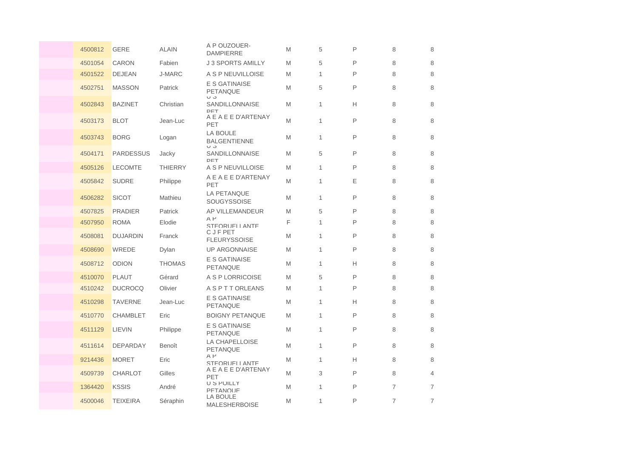| 4500812 | <b>GERE</b>      | <b>ALAIN</b>   | A P OUZOUER-<br><b>DAMPIERRE</b>        | M | 5            | P | 8              | 8              |
|---------|------------------|----------------|-----------------------------------------|---|--------------|---|----------------|----------------|
| 4501054 | <b>CARON</b>     | Fabien         | <b>J 3 SPORTS AMILLY</b>                | M | 5            | P | 8              | 8              |
| 4501522 | <b>DEJEAN</b>    | <b>J-MARC</b>  | A S P NEUVILLOISE                       | M | 1            | P | 8              | 8              |
| 4502751 | <b>MASSON</b>    | Patrick        | E S GATINAISE<br><b>PETANQUE</b><br>U J | M | 5            | P | 8              | 8              |
| 4502843 | <b>BAZINET</b>   | Christian      | <b>SANDILLONNAISE</b><br>DET            | M | 1            | Н | 8              | 8              |
| 4503173 | <b>BLOT</b>      | Jean-Luc       | A E A E E D'ARTENAY<br>PET              | M | $\mathbf{1}$ | P | 8              | 8              |
| 4503743 | <b>BORG</b>      | Logan          | LA BOULE<br><b>BALGENTIENNE</b><br>U J  | M | 1            | P | 8              | 8              |
| 4504171 | <b>PARDESSUS</b> | Jacky          | SANDILLONNAISE<br>DET                   | M | 5            | P | 8              | 8              |
| 4505126 | <b>LECOMTE</b>   | <b>THIERRY</b> | A S P NEUVILLOISE                       | M | 1            | P | 8              | 8              |
| 4505842 | <b>SUDRE</b>     | Philippe       | A E A E E D'ARTENAY<br>PET              | M | 1            | Ε | 8              | 8              |
| 4506282 | <b>SICOT</b>     | Mathieu        | <b>LA PETANQUE</b><br>SOUGYSSOISE       | M | $\mathbf{1}$ | P | 8              | 8              |
| 4507825 | <b>PRADIER</b>   | Patrick        | AP VILLEMANDEUR                         | M | 5            | P | 8              | 8              |
| 4507950 | <b>ROMA</b>      | Elodie         | AP<br>STEORUELL ANTE                    | F | $\mathbf{1}$ | P | 8              | 8              |
| 4508081 | <b>DUJARDIN</b>  | Franck         | <b>CJFPET</b><br><b>FLEURYSSOISE</b>    | M | 1            | P | 8              | 8              |
| 4508690 | WREDE            | Dylan          | <b>UP ARGONNAISE</b>                    | M | 1            | P | 8              | 8              |
| 4508712 | <b>ODION</b>     | <b>THOMAS</b>  | E S GATINAISE<br>PETANQUE               | M | $\mathbf{1}$ | H | 8              | 8              |
| 4510070 | <b>PLAUT</b>     | Gérard         | A S P LORRICOISE                        | M | 5            | P | 8              | 8              |
| 4510242 | <b>DUCROCQ</b>   | Olivier        | <b>ASPTTORLEANS</b>                     | M | 1            | P | 8              | 8              |
| 4510298 | <b>TAVERNE</b>   | Jean-Luc       | E S GATINAISE<br>PETANQUE               | M | 1            | Н | 8              | 8              |
| 4510770 | <b>CHAMBLET</b>  | Eric           | <b>BOIGNY PETANQUE</b>                  | M | 1            | P | 8              | 8              |
| 4511129 | LIEVIN           | Philippe       | E S GATINAISE<br>PETANQUE               | M | 1            | P | 8              | 8              |
| 4511614 | <b>DEPARDAY</b>  | Benoît         | LA CHAPELLOISE<br>PETANQUE              | M | 1            | P | 8              | 8              |
| 9214436 | <b>MORET</b>     | Eric           | $A$ $P$<br>STEORUELL ANTE               | M | $\mathbf{1}$ | Н | 8              | 8              |
| 4509739 | <b>CHARLOT</b>   | Gilles         | A E A E E D'ARTENAY<br>PET              | M | 3            | P | 8              | $\overline{4}$ |
| 1364420 | <b>KSSIS</b>     | André          | <b>U S POILLY</b><br>PFTANOLIF          | M | 1            | P | $\overline{7}$ | $\overline{7}$ |
| 4500046 | <b>TEIXEIRA</b>  | Séraphin       | LA BOULE<br><b>MALESHERBOISE</b>        | M | 1            | P | $\overline{7}$ | $\overline{7}$ |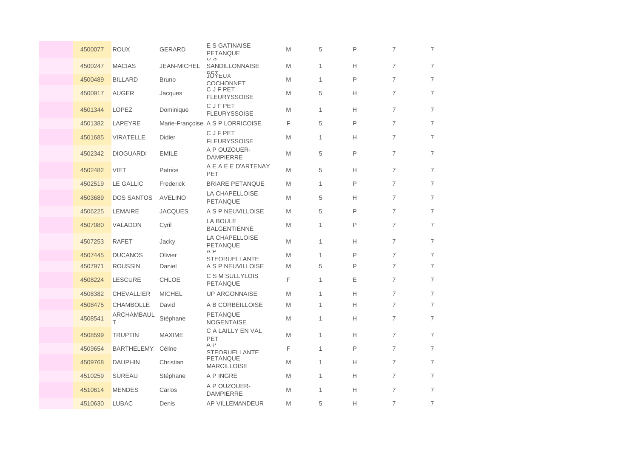| 4500077 | <b>ROUX</b>       | <b>GERARD</b>      | E S GATINAISE<br><b>PETANQUE</b><br>$U$ $\circ$ | M | 5            | P  | $\overline{7}$ | $\overline{7}$ |
|---------|-------------------|--------------------|-------------------------------------------------|---|--------------|----|----------------|----------------|
| 4500247 | <b>MACIAS</b>     | <b>JEAN-MICHEL</b> | SANDILLONNAISE                                  | M | 1            | Н  | $\overline{7}$ | $\overline{7}$ |
| 4500489 | <b>BILLARD</b>    | <b>Bruno</b>       | <b>JOYEUX</b><br>COCHONNET                      | M | $\mathbf{1}$ | P  | $\overline{7}$ | $\overline{7}$ |
| 4500917 | <b>AUGER</b>      | Jacques            | <b>CJFPET</b><br><b>FLEURYSSOISE</b>            | M | 5            | Н  | $\overline{7}$ | $\overline{7}$ |
| 4501344 | LOPEZ             | Dominique          | <b>CJFPET</b><br><b>FLEURYSSOISE</b>            | M | 1            | H. | $\overline{7}$ | $\overline{7}$ |
| 4501382 | LAPEYRE           |                    | Marie-Françoise A S P LORRICOISE                | F | 5            | P  | $\overline{7}$ | $\overline{7}$ |
| 4501685 | <b>VIRATELLE</b>  | <b>Didier</b>      | <b>CJFPET</b><br><b>FLEURYSSOISE</b>            | M | 1            | Н  | $\overline{7}$ | $\overline{7}$ |
| 4502342 | <b>DIOGUARDI</b>  | <b>EMILE</b>       | A P OUZOUER-<br><b>DAMPIERRE</b>                | M | 5            | P  | $\overline{7}$ | $\overline{7}$ |
| 4502482 | <b>VIET</b>       | Patrice            | A E A E E D'ARTENAY<br>PET                      | M | 5            | Н  | $\overline{7}$ | $\overline{7}$ |
| 4502519 | <b>LE GALLIC</b>  | Frederick          | <b>BRIARE PETANQUE</b>                          | M | 1            | P  | $\overline{7}$ | $\overline{7}$ |
| 4503689 | <b>DOS SANTOS</b> | <b>AVELINO</b>     | LA CHAPELLOISE<br>PETANQUE                      | M | 5            | Н  | $\overline{7}$ | $\overline{7}$ |
| 4506225 | LEMAIRE           | <b>JACQUES</b>     | A S P NEUVILLOISE                               | M | 5            | P  | $\overline{7}$ | $\overline{7}$ |
| 4507080 | VALADON           | Cyril              | <b>LA BOULE</b><br><b>BALGENTIENNE</b>          | M | 1            | P  | $\overline{7}$ | $\overline{7}$ |
| 4507253 | <b>RAFET</b>      | Jacky              | LA CHAPELLOISE<br>PETANQUE                      | M | 1            | н  | $\overline{7}$ | $\overline{7}$ |
| 4507445 | <b>DUCANOS</b>    | Olivier            | $A$ $P$<br>STEORUELL ANTE                       | M | 1            | P  | $\overline{7}$ | $\overline{7}$ |
| 4507971 | <b>ROUSSIN</b>    | Daniel             | A S P NEUVILLOISE                               | M | 5            | P  | $\overline{7}$ | $\overline{7}$ |
| 4508224 | <b>LESCURE</b>    | <b>CHLOE</b>       | C S M SULLYLOIS<br><b>PETANQUE</b>              | F | 1            | Ε  | $\overline{7}$ | $\overline{7}$ |
| 4508382 | <b>CHEVALLIER</b> | <b>MICHEL</b>      | <b>UP ARGONNAISE</b>                            | M | 1            | Н  | $\overline{7}$ | $\overline{7}$ |
| 4508475 | CHAMBOLLE         | David              | A B CORBEILLOISE                                | M | 1            | н  | $\overline{7}$ | $\overline{7}$ |
| 4508541 | ARCHAMBAUL<br>т   | Stéphane           | PETANQUE<br><b>NOGENTAISE</b>                   | M | 1            | н  | $\overline{7}$ | $\overline{7}$ |
| 4508599 | <b>TRUPTIN</b>    | <b>MAXIME</b>      | C A LAILLY EN VAL<br>PET                        | M | 1            | Н  | $\overline{7}$ | $\overline{7}$ |
| 4509654 | <b>BARTHELEMY</b> | Céline             | $A$ $P$<br>STEORUELL ANTE                       | F | 1            | P  | $\overline{7}$ | $\overline{7}$ |
| 4509768 | <b>DAUPHIN</b>    | Christian          | <b>PETANQUE</b><br><b>MARCILLOISE</b>           | M | 1            | Н  | $\overline{7}$ | $\overline{7}$ |
| 4510259 | <b>SUREAU</b>     | Stéphane           | A P INGRE                                       | M | 1            | н  | $\overline{7}$ | $\overline{7}$ |
| 4510614 | <b>MENDES</b>     | Carlos             | A P OUZOUER-<br><b>DAMPIERRE</b>                | M | 1            | Н  | $\overline{7}$ | $\overline{7}$ |
| 4510630 | <b>LUBAC</b>      | Denis              | AP VILLEMANDEUR                                 | M | 5            | Н  | $\overline{7}$ | $\overline{7}$ |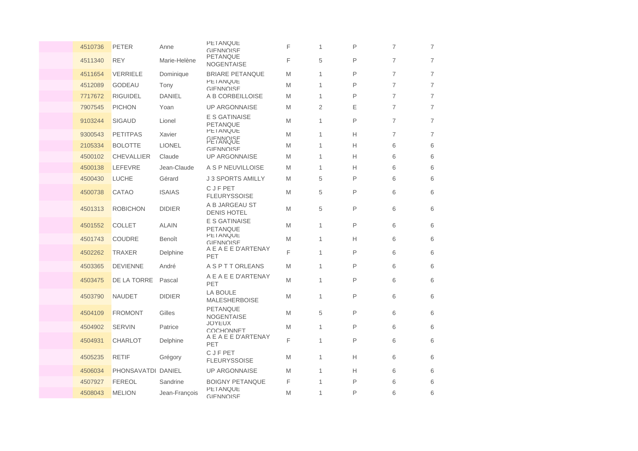| 4510736 | <b>PETER</b>       | Anne          | <b>PETANQUE</b><br>GIFNNOISE<br><b>PETANQUE</b> | F | 1 | P            | $\overline{7}$ | $\overline{7}$ |
|---------|--------------------|---------------|-------------------------------------------------|---|---|--------------|----------------|----------------|
| 4511340 | <b>REY</b>         | Marie-Helène  | <b>NOGENTAISE</b>                               | F | 5 | P            | $\overline{7}$ | $\overline{7}$ |
| 4511654 | <b>VERRIELE</b>    | Dominique     | <b>BRIARE PETANQUE</b>                          | M | 1 | P            | $\overline{7}$ | $\overline{7}$ |
| 4512089 | <b>GODEAU</b>      | Tony          | <b>PETANQUE</b><br><b>GIFNNOISE</b>             | M | 1 | P            | $\overline{7}$ | $\overline{7}$ |
| 7717672 | <b>RIGUIDEL</b>    | <b>DANIEL</b> | A B CORBEILLOISE                                | M | 1 | P            | $\overline{7}$ | $\overline{7}$ |
| 7907545 | <b>PICHON</b>      | Yoan          | <b>UP ARGONNAISE</b>                            | M | 2 | Ε            | 7              | $\overline{7}$ |
| 9103244 | <b>SIGAUD</b>      | Lionel        | <b>E S GATINAISE</b><br><b>PETANQUE</b>         | M | 1 | P            | $\overline{7}$ | $\overline{7}$ |
| 9300543 | <b>PETITPAS</b>    | Xavier        | <b>PETANQUE</b><br>GIFNNOISE<br>PETANQUE        | M | 1 | Н            | $\overline{7}$ | $\overline{7}$ |
| 2105334 | <b>BOLOTTE</b>     | <b>LIONEL</b> | <b>GIFNNOISE</b>                                | M | 1 | Н            | 6              | 6              |
| 4500102 | <b>CHEVALLIER</b>  | Claude        | <b>UP ARGONNAISE</b>                            | M | 1 | Н            | 6              | 6              |
| 4500138 | LEFEVRE            | Jean-Claude   | A S P NEUVILLOISE                               | M | 1 | Н            | 6              | 6              |
| 4500430 | <b>LUCHE</b>       | Gérard        | <b>J 3 SPORTS AMILLY</b>                        | M | 5 | P            | 6              | 6              |
| 4500738 | <b>CATAO</b>       | <b>ISAIAS</b> | <b>CJFPET</b><br><b>FLEURYSSOISE</b>            | M | 5 | P            | 6              | 6              |
| 4501313 | <b>ROBICHON</b>    | <b>DIDIER</b> | A B JARGEAU ST<br><b>DENIS HOTEL</b>            | M | 5 | P            | 6              | 6              |
| 4501552 | <b>COLLET</b>      | <b>ALAIN</b>  | <b>E S GATINAISE</b><br><b>PETANQUE</b>         | M | 1 | P            | 6              | 6              |
| 4501743 | <b>COUDRE</b>      | Benoît        | <b>PETANQUE</b><br><b>GIFNNOISE</b>             | M | 1 | Н            | 6              | 6              |
| 4502262 | <b>TRAXER</b>      | Delphine      | A E A E E D'ARTENAY<br>PET                      | F | 1 | P            | 6              | 6              |
| 4503365 | <b>DEVIENNE</b>    | André         | <b>A S P T T ORLEANS</b>                        | M | 1 | P            | 6              | 6              |
| 4503475 | DE LA TORRE        | Pascal        | A E A E E D'ARTENAY<br>PET                      | M | 1 | P            | 6              | 6              |
| 4503790 | <b>NAUDET</b>      | <b>DIDIER</b> | <b>LA BOULE</b><br><b>MALESHERBOISE</b>         | M | 1 | $\mathsf{P}$ | 6              | 6              |
| 4504109 | <b>FROMONT</b>     | Gilles        | PETANQUE<br><b>NOGENTAISE</b>                   | M | 5 | P            | 6              | 6              |
| 4504902 | <b>SERVIN</b>      | Patrice       | <b>JUYEUX</b><br>COCHONNET                      | M | 1 | P            | 6              | 6              |
| 4504931 | <b>CHARLOT</b>     | Delphine      | A E A E E D'ARTENAY<br>PET                      | F | 1 | P            | 6              | 6              |
| 4505235 | <b>RETIF</b>       | Grégory       | C J F PET<br><b>FLEURYSSOISE</b>                | M | 1 | Н            | 6              | 6              |
| 4506034 | PHONSAVATDI DANIEL |               | <b>UP ARGONNAISE</b>                            | M | 1 | Н            | 6              | 6              |
| 4507927 | <b>FEREOL</b>      | Sandrine      | <b>BOIGNY PETANQUE</b>                          | F | 1 | P            | 6              | 6              |
| 4508043 | <b>MELION</b>      | Jean-François | <b>PETANQUE</b><br>GIFNNOISE                    | M | 1 | P            | 6              | 6              |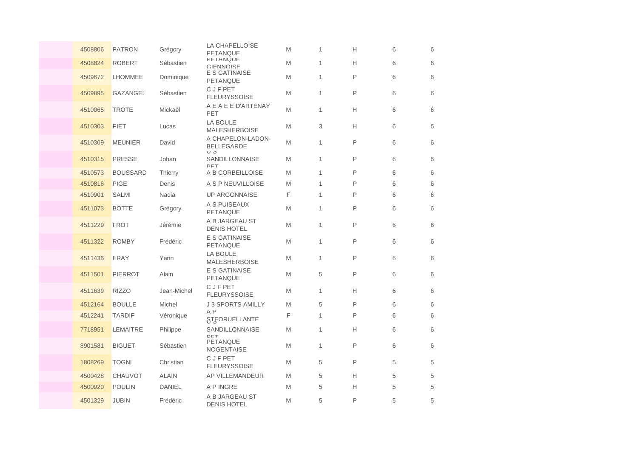| 4508806 | <b>PATRON</b>   | Grégory        | LA CHAPELLOISE<br>PETANQUE                    | M | 1            | Н | 6 | 6 |
|---------|-----------------|----------------|-----------------------------------------------|---|--------------|---|---|---|
| 4508824 | <b>ROBERT</b>   | Sébastien      | <b>PETANQUE</b><br>GIFNNOISE                  | M | $\mathbf{1}$ | H | 6 | 6 |
| 4509672 | <b>LHOMMEE</b>  | Dominique      | E S GATINAISE<br>PETANQUE                     | M | 1            | P | 6 | 6 |
| 4509895 | GAZANGEL        | Sébastien      | C J F PET<br><b>FLEURYSSOISE</b>              | M | 1            | P | 6 | 6 |
| 4510065 | <b>TROTE</b>    | Mickaël        | A E A E E D'ARTENAY<br>PET                    | M | $\mathbf{1}$ | Н | 6 | 6 |
| 4510303 | PIET            | Lucas          | LA BOULE<br><b>MALESHERBOISE</b>              | M | 3            | Н | 6 | 6 |
| 4510309 | <b>MEUNIER</b>  | David          | A CHAPELON-LADON-<br><b>BELLEGARDE</b><br>U J | M | 1            | P | 6 | 6 |
| 4510315 | <b>PRESSE</b>   | Johan          | SANDILLONNAISE<br>DET                         | M | $\mathbf{1}$ | P | 6 | 6 |
| 4510573 | <b>BOUSSARD</b> | <b>Thierry</b> | A B CORBEILLOISE                              | M | $\mathbf{1}$ | P | 6 | 6 |
| 4510816 | <b>PIGE</b>     | Denis          | A S P NEUVILLOISE                             | M | 1            | P | 6 | 6 |
| 4510901 | <b>SALMI</b>    | Nadia          | <b>UP ARGONNAISE</b>                          | F | 1            | P | 6 | 6 |
| 4511073 | <b>BOTTE</b>    | Grégory        | A S PUISEAUX<br><b>PETANQUE</b>               | M | $\mathbf{1}$ | P | 6 | 6 |
| 4511229 | <b>FROT</b>     | Jérémie        | A B JARGEAU ST<br><b>DENIS HOTEL</b>          | M | $\mathbf{1}$ | P | 6 | 6 |
| 4511322 | <b>ROMBY</b>    | Frédéric       | <b>E S GATINAISE</b><br>PETANQUE              | M | $\mathbf{1}$ | P | 6 | 6 |
| 4511436 | <b>ERAY</b>     | Yann           | <b>LA BOULE</b><br><b>MALESHERBOISE</b>       | M | $\mathbf{1}$ | P | 6 | 6 |
| 4511501 | <b>PIERROT</b>  | Alain          | <b>E S GATINAISE</b><br><b>PETANQUE</b>       | M | 5            | P | 6 | 6 |
| 4511639 | <b>RIZZO</b>    | Jean-Michel    | C J F PET<br><b>FLEURYSSOISE</b>              | M | $\mathbf{1}$ | Н | 6 | 6 |
| 4512164 | <b>BOULLE</b>   | Michel         | <b>J 3 SPORTS AMILLY</b>                      | M | 5            | P | 6 | 6 |
| 4512241 | <b>TARDIF</b>   | Véronique      | $A$ $P$<br>STEORUFLI ANTE                     | F | $\mathbf{1}$ | P | 6 | 6 |
| 7718951 | LEMAITRE        | Philippe       | SANDILLONNAISE<br>DET                         | M | 1            | Н | 6 | 6 |
| 8901581 | <b>BIGUET</b>   | Sébastien      | PETANQUE<br><b>NOGENTAISE</b>                 | M | 1            | P | 6 | 6 |
| 1808269 | <b>TOGNI</b>    | Christian      | C J F PET<br><b>FLEURYSSOISE</b>              | M | 5            | P | 5 | 5 |
| 4500428 | <b>CHAUVOT</b>  | <b>ALAIN</b>   | AP VILLEMANDEUR                               | M | 5            | Н | 5 | 5 |
| 4500920 | <b>POULIN</b>   | <b>DANIEL</b>  | A P INGRE                                     | M | 5            | Н | 5 | 5 |
| 4501329 | <b>JUBIN</b>    | Frédéric       | A B JARGEAU ST<br><b>DENIS HOTEL</b>          | M | 5            | P | 5 | 5 |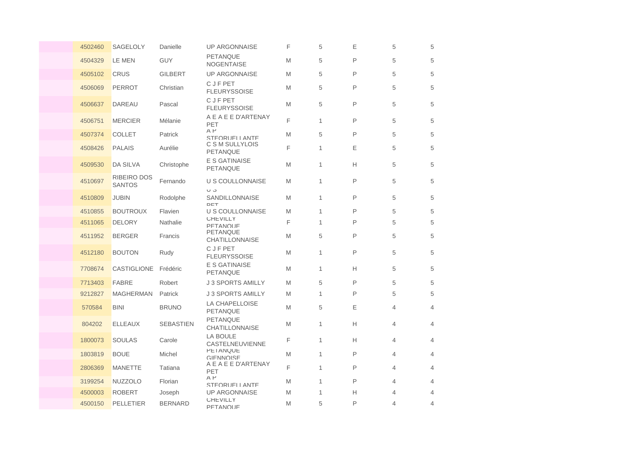| 4502460 | SAGELOLY                            | Danielle         | <b>UP ARGONNAISE</b>                     | F | 5 | E            | 5              | 5              |
|---------|-------------------------------------|------------------|------------------------------------------|---|---|--------------|----------------|----------------|
| 4504329 | LE MEN                              | <b>GUY</b>       | <b>PETANQUE</b><br><b>NOGENTAISE</b>     | M | 5 | P            | 5              | 5              |
| 4505102 | <b>CRUS</b>                         | <b>GILBERT</b>   | <b>UP ARGONNAISE</b>                     | M | 5 | P            | 5              | 5              |
| 4506069 | <b>PERROT</b>                       | Christian        | <b>CJFPET</b><br><b>FLEURYSSOISE</b>     | M | 5 | P            | 5              | 5              |
| 4506637 | <b>DAREAU</b>                       | Pascal           | <b>CJFPET</b><br><b>FLEURYSSOISE</b>     | M | 5 | $\mathsf{P}$ | 5              | 5              |
| 4506751 | <b>MERCIER</b>                      | Mélanie          | A E A E E D'ARTENAY<br>PET               | F | 1 | P            | 5              | 5              |
| 4507374 | <b>COLLET</b>                       | Patrick          | $A$ $P$<br>STEORUELL ANTE                | M | 5 | P            | 5              | 5              |
| 4508426 | <b>PALAIS</b>                       | Aurélie          | C S M SULLYLOIS<br>PETANQUE              | F | 1 | E            | 5              | 5              |
| 4509530 | DA SILVA                            | Christophe       | <b>E S GATINAISE</b><br><b>PETANQUE</b>  | M | 1 | Н            | 5              | 5              |
| 4510697 | <b>RIBEIRO DOS</b><br><b>SANTOS</b> | Fernando         | U S COULLONNAISE                         | M | 1 | P            | 5              | 5              |
| 4510809 | <b>JUBIN</b>                        | Rodolphe         | U J<br>SANDILLONNAISE<br>DET             | M | 1 | P            | 5              | 5              |
| 4510855 | <b>BOUTROUX</b>                     | Flavien          | U S COULLONNAISE                         | M | 1 | P            | 5              | 5              |
| 4511065 | <b>DELORY</b>                       | Nathalie         | <b>CHEVILLY</b><br><b>PFTANOUF</b>       | F | 1 | P            | 5              | 5              |
| 4511952 | <b>BERGER</b>                       | Francis          | <b>PETANQUE</b><br><b>CHATILLONNAISE</b> | M | 5 | P            | 5              | 5              |
| 4512180 | <b>BOUTON</b>                       | Rudy             | <b>CJFPET</b><br><b>FLEURYSSOISE</b>     | M | 1 | P            | 5              | 5              |
| 7708674 | CASTIGLIONE                         | Frédéric         | <b>E S GATINAISE</b><br>PETANQUE         | M | 1 | Н            | 5              | 5              |
| 7713403 | <b>FABRE</b>                        | Robert           | <b>J 3 SPORTS AMILLY</b>                 | M | 5 | P            | 5              | 5              |
| 9212827 | <b>MAGHERMAN</b>                    | Patrick          | <b>J 3 SPORTS AMILLY</b>                 | M | 1 | P            | 5              | 5              |
| 570584  | <b>BINI</b>                         | <b>BRUNO</b>     | LA CHAPELLOISE<br>PETANQUE               | M | 5 | E            | 4              | $\overline{4}$ |
| 804202  | <b>ELLEAUX</b>                      | <b>SEBASTIEN</b> | PETANQUE<br><b>CHATILLONNAISE</b>        | M | 1 | Н            | $\overline{4}$ | $\overline{4}$ |
| 1800073 | <b>SOULAS</b>                       | Carole           | <b>LA BOULE</b><br>CASTELNEUVIENNE       | F | 1 | Н            | 4              | 4              |
| 1803819 | <b>BOUE</b>                         | Michel           | <b>PETANQUE</b><br><b>GIFNNOISE</b>      | M | 1 | P            | $\overline{4}$ | $\overline{4}$ |
| 2806369 | <b>MANETTE</b>                      | Tatiana          | A E A E E D'ARTENAY<br>PET               | F | 1 | P            | $\overline{4}$ | $\overline{4}$ |
| 3199254 | <b>NUZZOLO</b>                      | Florian          | $A$ $P$<br>STFORUELL ANTE                | M | 1 | P            | $\overline{4}$ | $\overline{4}$ |
| 4500003 | <b>ROBERT</b>                       | Joseph           | <b>UP ARGONNAISE</b>                     | M | 1 | Н            | $\overline{4}$ | $\overline{4}$ |
| 4500150 | PELLETIER                           | <b>BERNARD</b>   | <b>CHEVILLY</b><br>PFTANOLIF             | M | 5 | P            | 4              | 4              |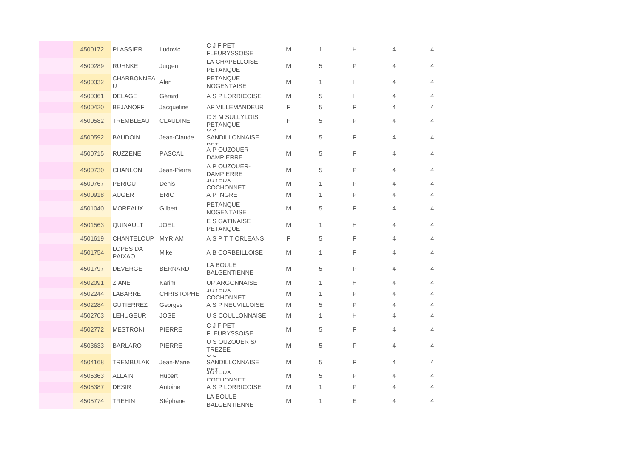| 4500172 | <b>PLASSIER</b>           | Ludovic           | <b>CJFPET</b><br><b>FLEURYSSOISE</b>      | M | 1            | Н | 4 | 4              |
|---------|---------------------------|-------------------|-------------------------------------------|---|--------------|---|---|----------------|
| 4500289 | <b>RUHNKE</b>             | Jurgen            | LA CHAPELLOISE<br><b>PETANQUE</b>         | M | 5            | P | 4 | $\overline{4}$ |
| 4500332 | <b>CHARBONNEA</b><br>U    | Alan              | <b>PETANQUE</b><br><b>NOGENTAISE</b>      | M | 1            | Н | 4 | 4              |
| 4500361 | <b>DELAGE</b>             | Gérard            | A S P LORRICOISE                          | M | 5            | Н | 4 | $\overline{4}$ |
| 4500420 | <b>BEJANOFF</b>           | Jacqueline        | AP VILLEMANDEUR                           | F | 5            | P | 4 | $\overline{4}$ |
| 4500582 | TREMBLEAU                 | <b>CLAUDINE</b>   | C S M SULLYLOIS<br><b>PETANQUE</b><br>U J | F | 5            | P | 4 | $\overline{4}$ |
| 4500592 | <b>BAUDOIN</b>            | Jean-Claude       | SANDILLONNAISE<br>DET                     | M | 5            | P | 4 | $\overline{4}$ |
| 4500715 | <b>RUZZENE</b>            | <b>PASCAL</b>     | A P OUZOUER-<br><b>DAMPIERRE</b>          | M | 5            | P | 4 | $\overline{4}$ |
| 4500730 | <b>CHANLON</b>            | Jean-Pierre       | A P OUZOUER-<br><b>DAMPIERRE</b>          | M | 5            | P | 4 | $\overline{4}$ |
| 4500767 | <b>PERIOU</b>             | Denis             | <b>JOYEUX</b><br>COCHONNET                | M | $\mathbf{1}$ | P | 4 | $\overline{4}$ |
| 4500918 | <b>AUGER</b>              | <b>ERIC</b>       | A P INGRE                                 | M | 1            | P | 4 | $\overline{4}$ |
| 4501040 | <b>MOREAUX</b>            | Gilbert           | <b>PETANQUE</b><br><b>NOGENTAISE</b>      | M | 5            | P | 4 | 4              |
| 4501563 | QUINAULT                  | <b>JOEL</b>       | E S GATINAISE<br>PETANQUE                 | M | $\mathbf{1}$ | Н | 4 | $\overline{4}$ |
| 4501619 | <b>CHANTELOUP</b>         | <b>MYRIAM</b>     | <b>ASPTTORLEANS</b>                       | F | 5            | P | 4 | $\overline{4}$ |
| 4501754 | LOPES DA<br><b>PAIXAO</b> | Mike              | A B CORBEILLOISE                          | M | 1            | P | 4 | $\overline{4}$ |
| 4501797 | <b>DEVERGE</b>            | <b>BERNARD</b>    | <b>LA BOULE</b><br><b>BALGENTIENNE</b>    | M | 5            | P | 4 | 4              |
| 4502091 | ZIANE                     | Karim             | <b>UP ARGONNAISE</b>                      | M | 1            | Н | 4 | 4              |
| 4502244 | LABARRE                   | <b>CHRISTOPHE</b> | <b>JOYEUX</b><br>COCHONNET                | M | 1            | P | 4 | $\overline{4}$ |
| 4502284 | <b>GUTIERREZ</b>          | Georges           | A S P NEUVILLOISE                         | M | 5            | P | 4 | 4              |
| 4502703 | <b>LEHUGEUR</b>           | <b>JOSE</b>       | U S COULLONNAISE                          | M | 1            | Н | 4 | 4              |
| 4502772 | <b>MESTRONI</b>           | <b>PIERRE</b>     | C J F PET<br><b>FLEURYSSOISE</b>          | M | 5            | P | 4 | $\overline{4}$ |
| 4503633 | <b>BARLARO</b>            | <b>PIERRE</b>     | U S OUZOUER S/<br><b>TREZEE</b><br>U J    | M | 5            | P | 4 | $\overline{4}$ |
| 4504168 | <b>TREMBULAK</b>          | Jean-Marie        | SANDILLONNAISE<br><b>JOYEUX</b>           | M | 5            | P | 4 | $\overline{4}$ |
| 4505363 | <b>ALLAIN</b>             | <b>Hubert</b>     | COCHONNET                                 | M | 5            | P | 4 | $\overline{4}$ |
| 4505387 | <b>DESIR</b>              | Antoine           | A S P LORRICOISE                          | M | 1            | P | 4 | $\overline{4}$ |
| 4505774 | <b>TREHIN</b>             | Stéphane          | <b>LA BOULE</b><br><b>BALGENTIENNE</b>    | M | 1            | E | 4 | $\overline{4}$ |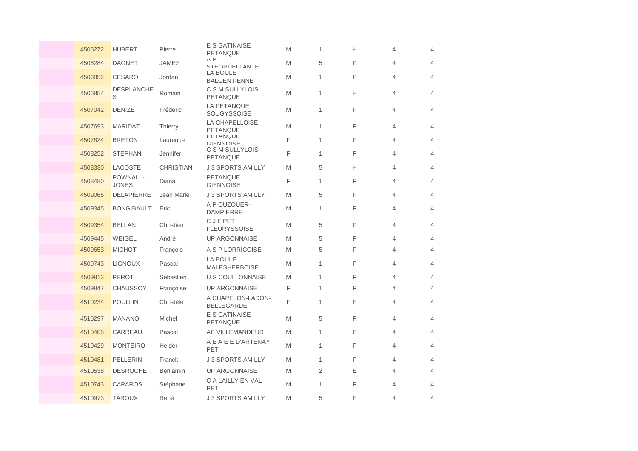| 4506272 | <b>HUBERT</b>            | Pierre           | E S GATINAISE<br>PETANQUE              | M | 1              | Н            | 4 | 4              |
|---------|--------------------------|------------------|----------------------------------------|---|----------------|--------------|---|----------------|
| 4506284 | <b>DAGNET</b>            | <b>JAMES</b>     | $A$ $P$<br>STEORUELL ANTE              | M | 5              | P            | 4 | $\overline{4}$ |
| 4506852 | <b>CESARO</b>            | Jordan           | LA BOULE<br><b>BALGENTIENNE</b>        | M | 1              | P            | 4 | $\overline{4}$ |
| 4506854 | <b>DESPLANCHE</b><br>S   | Romain           | C S M SULLYLOIS<br><b>PETANQUE</b>     | M | 1              | Н            | 4 | $\overline{4}$ |
| 4507042 | <b>DENIZE</b>            | Frédéric         | LA PETANQUE<br><b>SOUGYSSOISE</b>      | M | 1              | P            | 4 | $\overline{4}$ |
| 4507693 | <b>MARIDAT</b>           | <b>Thierry</b>   | LA CHAPELLOISE<br><b>PETANQUE</b>      | M | 1              | P            | 4 | $\overline{4}$ |
| 4507824 | <b>BRETON</b>            | Laurence         | <b>PETANQUE</b><br>GIFNNOISE           | F | 1              | P            | 4 | 4              |
| 4508252 | <b>STEPHAN</b>           | Jennifer         | C S M SULLYLOIS<br>PETANQUE            | F | 1              | P            | 4 | $\overline{4}$ |
| 4508330 | LACOSTE                  | <b>CHRISTIAN</b> | <b>J 3 SPORTS AMILLY</b>               | M | 5              | Н            | 4 | 4              |
| 4508480 | POWNALL-<br><b>JONES</b> | Diana            | PETANQUE<br><b>GIENNOISE</b>           | F | 1              | P            | 4 | 4              |
| 4509065 | <b>DELAPIERRE</b>        | Jean Marie       | <b>J 3 SPORTS AMILLY</b>               | M | 5              | P            | 4 | $\overline{4}$ |
| 4509345 | <b>BONGIBAULT</b>        | Eric             | A P OUZOUER-<br><b>DAMPIERRE</b>       | M | 1              | P            | 4 | $\overline{4}$ |
| 4509354 | <b>BELLAN</b>            | Christian        | <b>CJFPET</b><br><b>FLEURYSSOISE</b>   | M | 5              | P            | 4 | 4              |
| 4509445 | <b>WEIGEL</b>            | André            | <b>UP ARGONNAISE</b>                   | M | 5              | $\mathsf{P}$ | 4 | $\overline{4}$ |
| 4509653 | <b>MICHOT</b>            | François         | A S P LORRICOISE                       | M | 5              | P            | 4 | 4              |
| 4509743 | <b>LIGNOUX</b>           | Pascal           | LA BOULE<br><b>MALESHERBOISE</b>       | M | 1              | P            | 4 | 4              |
| 4509813 | <b>PEROT</b>             | Sébastien        | <b>U S COULLONNAISE</b>                | M | 1              | P            | 4 | $\overline{4}$ |
| 4509847 | <b>CHAUSSOY</b>          | Françoise        | <b>UP ARGONNAISE</b>                   | F | 1              | P            | 4 | 4              |
| 4510234 | <b>POULLIN</b>           | Christèle        | A CHAPELON-LADON-<br><b>BELLEGARDE</b> | F | 1              | P            | 4 | $\overline{4}$ |
| 4510297 | <b>MANANO</b>            | Michel           | E S GATINAISE<br>PETANQUE              | M | 5              | P            | 4 | 4              |
| 4510405 | CARREAU                  | Pascal           | AP VILLEMANDEUR                        | M | 1              | P            | 4 | 4              |
| 4510429 | <b>MONTEIRO</b>          | Helder           | A E A E E D'ARTENAY<br>PET             | M | 1              | P            | 4 | $\overline{4}$ |
| 4510481 | <b>PELLERIN</b>          | Franck           | <b>J 3 SPORTS AMILLY</b>               | M | 1              | P            | 4 | $\overline{4}$ |
| 4510538 | <b>DESROCHE</b>          | Benjamin         | <b>UP ARGONNAISE</b>                   | M | $\overline{2}$ | Ε            | 4 | $\overline{4}$ |
| 4510743 | <b>CAPAROS</b>           | Stéphane         | C A LAILLY EN VAL<br>PET               | M | 1              | P            | 4 | $\overline{4}$ |
| 4510973 | <b>TAROUX</b>            | René             | <b>J 3 SPORTS AMILLY</b>               | M | 5              | $\mathsf{P}$ | 4 | 4              |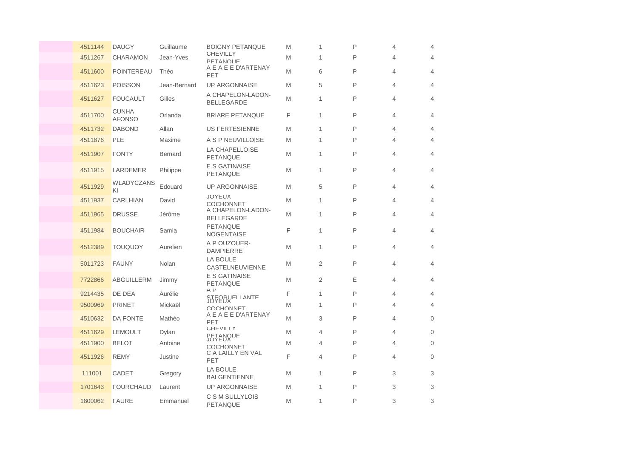| 4511144 | <b>DAUGY</b>                  | Guillaume      | <b>BOIGNY PETANQUE</b>                 | M | 1              | P | 4 | $\overline{4}$ |
|---------|-------------------------------|----------------|----------------------------------------|---|----------------|---|---|----------------|
| 4511267 | <b>CHARAMON</b>               | Jean-Yves      | <b>CHEVILLY</b><br>PFTANOLIF           | M | 1              | P | 4 | $\overline{4}$ |
| 4511600 | POINTEREAU                    | Théo           | A E A E E D'ARTENAY<br>PET             | M | 6              | P | 4 | 4              |
| 4511623 | <b>POISSON</b>                | Jean-Bernard   | <b>UP ARGONNAISE</b>                   | M | 5              | P | 4 | $\overline{4}$ |
| 4511627 | <b>FOUCAULT</b>               | Gilles         | A CHAPELON-LADON-<br><b>BELLEGARDE</b> | M | 1              | P | 4 | $\overline{4}$ |
| 4511700 | <b>CUNHA</b><br><b>AFONSO</b> | Orlanda        | <b>BRIARE PETANQUE</b>                 | F | 1              | P | 4 | $\overline{4}$ |
| 4511732 | <b>DABOND</b>                 | Allan          | <b>US FERTESIENNE</b>                  | M | 1              | P | 4 | 4              |
| 4511876 | <b>PLE</b>                    | Maxime         | A S P NEUVILLOISE                      | M | 1              | P | 4 | 4              |
| 4511907 | <b>FONTY</b>                  | <b>Bernard</b> | LA CHAPELLOISE<br><b>PETANQUE</b>      | M | 1              | P | 4 | $\overline{4}$ |
| 4511915 | <b>LARDEMER</b>               | Philippe       | E S GATINAISE<br><b>PETANQUE</b>       | M | 1              | P | 4 | $\overline{4}$ |
| 4511929 | WLADYCZANS<br>ΚI              | Edouard        | <b>UP ARGONNAISE</b>                   | M | 5              | P | 4 | 4              |
| 4511937 | <b>CARLHIAN</b>               | David          | <b>JUYEUX</b><br>COCHONNET             | M | 1              | P | 4 | $\overline{4}$ |
| 4511965 | <b>DRUSSE</b>                 | Jérôme         | A CHAPELON-LADON-<br><b>BELLEGARDE</b> | M | 1              | P | 4 | $\overline{4}$ |
| 4511984 | <b>BOUCHAIR</b>               | Samia          | PETANQUE<br><b>NOGENTAISE</b>          | F | 1              | P | 4 | 4              |
| 4512389 | <b>TOUQUOY</b>                | Aurelien       | A P OUZOUER-<br><b>DAMPIERRE</b>       | M | 1              | P | 4 | $\overline{4}$ |
| 5011723 | <b>FAUNY</b>                  | Nolan          | LA BOULE<br>CASTELNEUVIENNE            | M | $\overline{2}$ | P | 4 | 4              |
| 7722866 | ABGUILLERM                    | Jimmy          | <b>E S GATINAISE</b><br>PETANQUE       | M | 2              | Ε | 4 | $\overline{4}$ |
| 9214435 | DE DEA                        | Aurélie        | $A$ $P$<br>STEORUELLANTE               | F | 1              | P | 4 | $\overline{4}$ |
| 9500969 | <b>PRINET</b>                 | Mickaël        | COCHONNET                              | M | 1              | P | 4 | 4              |
| 4510632 | DA FONTE                      | Mathéo         | A E A E E D'ARTENAY<br>PET             | M | 3              | P | 4 | $\overline{0}$ |
| 4511629 | <b>LEMOULT</b>                | Dylan          | <b>UHEVILLY</b>                        | M | 4              | P | 4 | $\mathbf 0$    |
| 4511900 | <b>BELOT</b>                  | Antoine        | <b>PETANOUF</b><br>COCHONNET           | M | 4              | P | 4 | $\overline{0}$ |
| 4511926 | <b>REMY</b>                   | Justine        | C A LAILLY EN VAL<br>PET               | F | 4              | P | 4 | $\overline{0}$ |
| 111001  | CADET                         | Gregory        | <b>LA BOULE</b><br><b>BALGENTIENNE</b> | M | $\mathbf{1}$   | P | 3 | 3              |
| 1701643 | <b>FOURCHAUD</b>              | Laurent        | <b>UP ARGONNAISE</b>                   | M | 1              | P | 3 | 3              |
| 1800062 | <b>FAURE</b>                  | Emmanuel       | C S M SULLYLOIS<br><b>PETANQUE</b>     | M | 1              | P | 3 | 3              |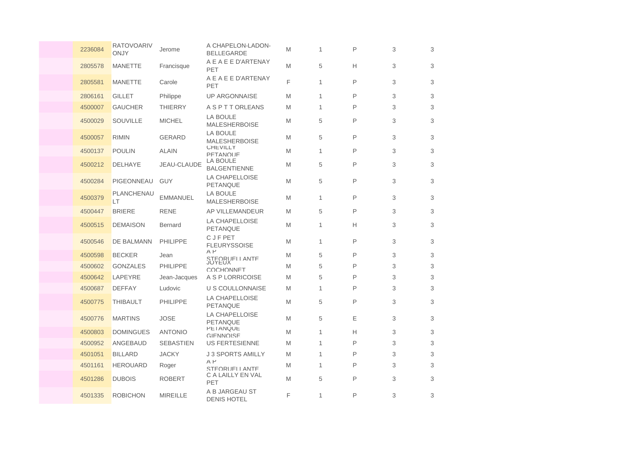| 2236084 | <b>RATOVOARIV</b><br>ONJY | Jerome           | A CHAPELON-LADON-<br><b>BELLEGARDE</b>   | M | 1            | P | 3 | 3 |
|---------|---------------------------|------------------|------------------------------------------|---|--------------|---|---|---|
| 2805578 | <b>MANETTE</b>            | Francisque       | A E A E E D'ARTENAY<br>PET               | M | 5            | Н | 3 | 3 |
| 2805581 | <b>MANETTE</b>            | Carole           | A E A E E D'ARTENAY<br>PET               | F | $\mathbf{1}$ | P | 3 | 3 |
| 2806161 | <b>GILLET</b>             | Philippe         | <b>UP ARGONNAISE</b>                     | M | 1            | P | 3 | 3 |
| 4500007 | <b>GAUCHER</b>            | <b>THIERRY</b>   | <b>A S P T T ORLEANS</b>                 | M | 1            | P | 3 | 3 |
| 4500029 | <b>SOUVILLE</b>           | <b>MICHEL</b>    | <b>LA BOULE</b><br><b>MALESHERBOISE</b>  | M | 5            | P | 3 | 3 |
| 4500057 | <b>RIMIN</b>              | <b>GERARD</b>    | <b>LA BOULE</b><br><b>MALESHERBOISE</b>  | M | 5            | P | 3 | 3 |
| 4500137 | <b>POULIN</b>             | <b>ALAIN</b>     | <b>CHEVILLY</b><br><b>PFTANOUF</b>       | M | 1            | P | 3 | 3 |
| 4500212 | <b>DELHAYE</b>            | JEAU-CLAUDE      | LA BOULE<br><b>BALGENTIENNE</b>          | M | 5            | P | 3 | 3 |
| 4500284 | PIGEONNEAU                | <b>GUY</b>       | <b>LA CHAPELLOISE</b><br><b>PETANQUE</b> | M | 5            | P | 3 | 3 |
| 4500379 | PLANCHENAU<br>LТ          | <b>EMMANUEL</b>  | LA BOULE<br><b>MALESHERBOISE</b>         | M | $\mathbf{1}$ | P | 3 | 3 |
| 4500447 | <b>BRIERE</b>             | <b>RENE</b>      | <b>AP VILLEMANDEUR</b>                   | M | 5            | P | 3 | 3 |
| 4500515 | <b>DEMAISON</b>           | <b>Bernard</b>   | <b>LA CHAPELLOISE</b><br>PETANQUE        | M | 1            | Н | 3 | 3 |
| 4500546 | DE BALMANN                | <b>PHILIPPE</b>  | C J F PET<br><b>FLEURYSSOISE</b>         | M | 1            | P | 3 | 3 |
| 4500598 | <b>BECKER</b>             | Jean             | $A$ $P$<br>STEORUELLANTE                 | M | 5            | P | 3 | 3 |
| 4500602 | <b>GONZALES</b>           | <b>PHILIPPE</b>  | COCHONNET                                | M | 5            | P | 3 | 3 |
| 4500642 | LAPEYRE                   | Jean-Jacques     | A S P LORRICOISE                         | M | 5            | P | 3 | 3 |
| 4500687 | <b>DEFFAY</b>             | Ludovic          | <b>U S COULLONNAISE</b>                  | M | $\mathbf{1}$ | P | 3 | 3 |
| 4500775 | <b>THIBAULT</b>           | <b>PHILIPPE</b>  | <b>LA CHAPELLOISE</b><br>PETANQUE        | M | 5            | P | 3 | 3 |
| 4500776 | <b>MARTINS</b>            | <b>JOSE</b>      | LA CHAPELLOISE<br><b>PETANQUE</b>        | M | 5            | Ε | 3 | 3 |
| 4500803 | <b>DOMINGUES</b>          | <b>ANTONIO</b>   | <b>PETANQUE</b><br>GIFNNOISE             | M | 1            | Н | 3 | 3 |
| 4500952 | ANGEBAUD                  | <b>SEBASTIEN</b> | <b>US FERTESIENNE</b>                    | M | $\mathbf{1}$ | P | 3 | 3 |
| 4501051 | <b>BILLARD</b>            | <b>JACKY</b>     | <b>J 3 SPORTS AMILLY</b>                 | M | 1            | P | 3 | 3 |
| 4501161 | <b>HEROUARD</b>           | Roger            | $A$ $P$<br>STEORUELL ANTE                | M | $\mathbf{1}$ | P | 3 | 3 |
| 4501286 | <b>DUBOIS</b>             | <b>ROBERT</b>    | C A LAILLY EN VAL<br>PET                 | M | 5            | P | 3 | 3 |
| 4501335 | <b>ROBICHON</b>           | <b>MIREILLE</b>  | A B JARGEAU ST<br><b>DENIS HOTEL</b>     | F | 1            | P | 3 | 3 |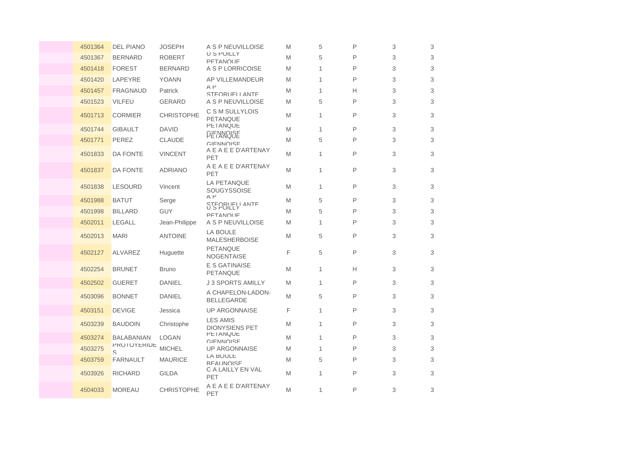| 4501364 | <b>DEL PIANO</b>  | <b>JOSEPH</b>     | A S P NEUVILLOISE                        | M | 5            | P | 3 | 3 |
|---------|-------------------|-------------------|------------------------------------------|---|--------------|---|---|---|
| 4501367 | <b>BERNARD</b>    | <b>ROBERT</b>     | <b>U S POILLY</b><br>PFTANOLIF           | M | 5            | P | 3 | 3 |
| 4501418 | <b>FOREST</b>     | <b>BERNARD</b>    | A S P LORRICOISE                         | M | 1            | P | 3 | 3 |
| 4501420 | LAPEYRE           | <b>YOANN</b>      | AP VILLEMANDEUR                          | M | 1            | P | 3 | 3 |
| 4501457 | <b>FRAGNAUD</b>   | Patrick           | $A$ $P$<br>STEORUELL ANTE                | M | 1            | Н | 3 | 3 |
| 4501523 | <b>VILFEU</b>     | <b>GERARD</b>     | A S P NEUVILLOISE                        | M | 5            | P | 3 | 3 |
| 4501713 | <b>CORMIER</b>    | <b>CHRISTOPHE</b> | C S M SULLYLOIS<br>PETANQUE              | M | 1            | P | 3 | 3 |
| 4501744 | <b>GIBAULT</b>    | <b>DAVID</b>      | <b>PETANQUE</b><br><b>GIFNNOISE</b>      | M | 1            | P | 3 | 3 |
| 4501771 | PEREZ             | <b>CLAUDE</b>     | <b>GIFNNOISE</b>                         | M | 5            | P | 3 | 3 |
| 4501833 | <b>DA FONTE</b>   | <b>VINCENT</b>    | A E A E E D'ARTENAY<br>PET               | M | 1            | P | 3 | 3 |
| 4501837 | <b>DA FONTE</b>   | <b>ADRIANO</b>    | A E A E E D'ARTENAY<br>PET               | M | 1            | P | 3 | 3 |
| 4501838 | <b>LESOURD</b>    | Vincent           | LA PETANQUE<br>SOUGYSSOISE               | M | 1            | P | 3 | 3 |
| 4501988 | <b>BATUT</b>      | Serge             | $A$ $P$<br>STEORIJELI ANTE               | M | 5            | P | 3 | 3 |
| 4501998 | <b>BILLARD</b>    | <b>GUY</b>        | PFTANOLIF                                | M | 5            | P | 3 | 3 |
| 4502011 | <b>LEGALL</b>     | Jean-Philippe     | A S P NEUVILLOISE                        | M | 1            | P | 3 | 3 |
| 4502013 | <b>MARI</b>       | <b>ANTOINE</b>    | <b>LA BOULE</b><br><b>MALESHERBOISE</b>  | M | 5            | P | 3 | 3 |
| 4502127 | <b>ALVAREZ</b>    | Huguette          | PETANQUE<br><b>NOGENTAISE</b>            | F | 5            | P | 3 | 3 |
| 4502254 | <b>BRUNET</b>     | <b>Bruno</b>      | E S GATINAISE<br>PETANQUE                | M | 1            | Н | 3 | 3 |
| 4502502 | <b>GUERET</b>     | <b>DANIEL</b>     | <b>J 3 SPORTS AMILLY</b>                 | M | $\mathbf{1}$ | P | 3 | 3 |
| 4503096 | <b>BONNET</b>     | <b>DANIEL</b>     | A CHAPELON-LADON-<br><b>BELLEGARDE</b>   | M | 5            | P | 3 | 3 |
| 4503151 | <b>DEVIGE</b>     | Jessica           | <b>UP ARGONNAISE</b>                     | F | 1            | P | 3 | 3 |
| 4503239 | <b>BAUDOIN</b>    | Christophe        | <b>LES AMIS</b><br><b>DIONYSIENS PET</b> | M | 1            | P | 3 | 3 |
| 4503274 | <b>BALABANIAN</b> | <b>LOGAN</b>      | <b>PETANQUE</b><br><b>GIFNNOISE</b>      | M | 1            | P | 3 | 3 |
| 4503275 | PROTOTERIDE<br>S  | <b>MICHEL</b>     | <b>UP ARGONNAISE</b>                     | M | 1            | P | 3 | 3 |
| 4503759 | <b>FARNAULT</b>   | <b>MAURICE</b>    | LA BOULE<br><b>REALINOISE</b>            | M | 5            | P | 3 | 3 |
| 4503926 | <b>RICHARD</b>    | <b>GILDA</b>      | C A LAILLY EN VAL<br>PET                 | M | 1            | P | 3 | 3 |
| 4504033 | <b>MOREAU</b>     | <b>CHRISTOPHE</b> | A E A E E D'ARTENAY<br>PET               | M | 1            | P | 3 | 3 |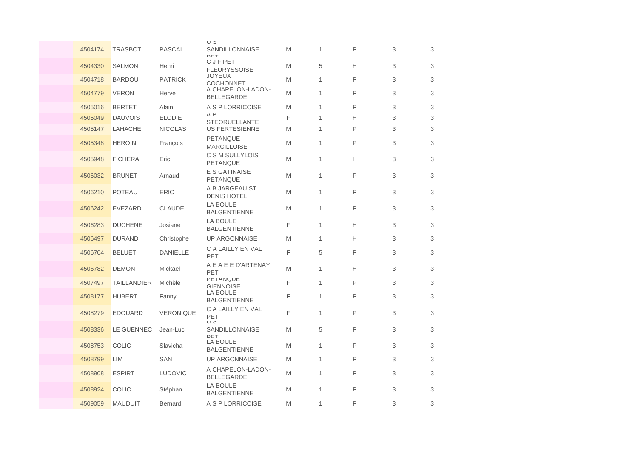|         |                    |                  | ပ ၁                                    |   |              |   |   |   |
|---------|--------------------|------------------|----------------------------------------|---|--------------|---|---|---|
| 4504174 | <b>TRASBOT</b>     | <b>PASCAL</b>    | SANDILLONNAISE<br>DET                  | M | 1            | P | 3 | 3 |
| 4504330 | <b>SALMON</b>      | Henri            | C J F PET<br><b>FLEURYSSOISE</b>       | M | 5            | Н | 3 | 3 |
| 4504718 | <b>BARDOU</b>      | <b>PATRICK</b>   | <b>JOYEUX</b><br>COCHONNET             | M | 1            | P | 3 | 3 |
| 4504779 | <b>VERON</b>       | Hervé            | A CHAPELON-LADON-<br><b>BELLEGARDE</b> | M | 1            | P | 3 | 3 |
| 4505016 | <b>BERTET</b>      | Alain            | A S P LORRICOISE                       | M | $\mathbf{1}$ | P | 3 | 3 |
| 4505049 | <b>DAUVOIS</b>     | <b>ELODIE</b>    | $A$ $P$<br>STEORUELL ANTE              | F | $\mathbf{1}$ | Н | 3 | 3 |
| 4505147 | LAHACHE            | <b>NICOLAS</b>   | <b>US FERTESIENNE</b>                  | M | $\mathbf{1}$ | P | 3 | 3 |
| 4505348 | <b>HEROIN</b>      | François         | <b>PETANQUE</b><br><b>MARCILLOISE</b>  | M | 1            | P | 3 | 3 |
| 4505948 | <b>FICHERA</b>     | Eric             | C S M SULLYLOIS<br>PETANQUE            | M | $\mathbf{1}$ | Н | 3 | 3 |
| 4506032 | <b>BRUNET</b>      | Arnaud           | <b>E S GATINAISE</b><br>PETANQUE       | M | 1            | P | 3 | 3 |
| 4506210 | <b>POTEAU</b>      | <b>ERIC</b>      | A B JARGEAU ST<br><b>DENIS HOTEL</b>   | M | $\mathbf{1}$ | P | 3 | 3 |
| 4506242 | <b>EVEZARD</b>     | <b>CLAUDE</b>    | <b>LA BOULE</b><br><b>BALGENTIENNE</b> | M | 1            | P | 3 | 3 |
| 4506283 | <b>DUCHENE</b>     | Josiane          | <b>LA BOULE</b><br><b>BALGENTIENNE</b> | F | $\mathbf{1}$ | Н | 3 | 3 |
| 4506497 | <b>DURAND</b>      | Christophe       | <b>UP ARGONNAISE</b>                   | M | $\mathbf{1}$ | Н | 3 | 3 |
| 4506704 | <b>BELUET</b>      | <b>DANIELLE</b>  | C A LAILLY EN VAL<br>PET               | F | 5            | P | 3 | 3 |
| 4506782 | <b>DEMONT</b>      | Mickael          | A E A E E D'ARTENAY<br>PET             | M | 1            | Н | 3 | 3 |
| 4507497 | <b>TAILLANDIER</b> | Michèle          | <b>PETANQUE</b><br><b>GIFNNOISE</b>    | F | $\mathbf{1}$ | P | 3 | 3 |
| 4508177 | <b>HUBERT</b>      | Fanny            | LA BOULE<br><b>BALGENTIENNE</b>        | F | $\mathbf{1}$ | P | 3 | 3 |
| 4508279 | <b>EDOUARD</b>     | <b>VERONIQUE</b> | C A LAILLY EN VAL<br>PET<br>U J        | F | 1            | P | 3 | 3 |
| 4508336 | LE GUENNEC         | Jean-Luc         | SANDILLONNAISE<br>DET                  | M | 5            | P | 3 | 3 |
| 4508753 | <b>COLIC</b>       | Slavicha         | LA BOULE<br><b>BALGENTIENNE</b>        | M | $\mathbf{1}$ | P | 3 | 3 |
| 4508799 | LIM                | <b>SAN</b>       | <b>UP ARGONNAISE</b>                   | M | 1            | P | 3 | 3 |
| 4508908 | <b>ESPIRT</b>      | <b>LUDOVIC</b>   | A CHAPELON-LADON-<br><b>BELLEGARDE</b> | M | $\mathbf{1}$ | P | 3 | 3 |
| 4508924 | <b>COLIC</b>       | Stéphan          | <b>LA BOULE</b><br><b>BALGENTIENNE</b> | M | 1            | P | 3 | 3 |
| 4509059 | <b>MAUDUIT</b>     | <b>Bernard</b>   | A S P LORRICOISE                       | M | 1            | P | 3 | 3 |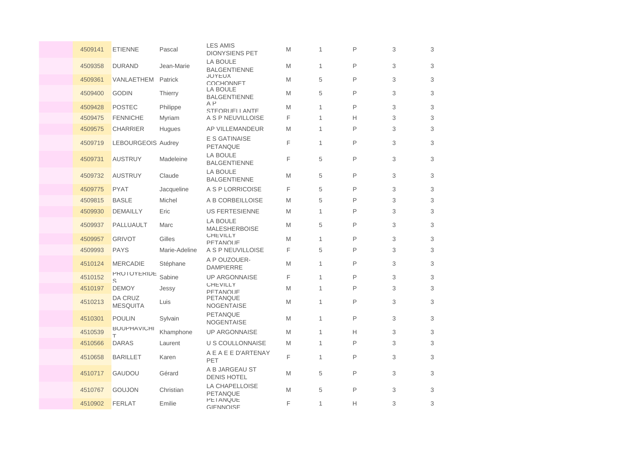| 4509141 | <b>ETIENNE</b>                 | Pascal        | <b>LES AMIS</b><br><b>DIONYSIENS PET</b> | M | 1            | P | 3 | 3                         |
|---------|--------------------------------|---------------|------------------------------------------|---|--------------|---|---|---------------------------|
| 4509358 | <b>DURAND</b>                  | Jean-Marie    | <b>LA BOULE</b><br><b>BALGENTIENNE</b>   | M | $\mathbf{1}$ | P | 3 | 3                         |
| 4509361 | VANLAETHEM                     | Patrick       | <b>JOYEUX</b><br><b>COCHONNET</b>        | M | 5            | P | 3 | 3                         |
| 4509400 | <b>GODIN</b>                   | Thierry       | <b>LA BOULE</b><br><b>BALGENTIENNE</b>   | M | 5            | P | 3 | 3                         |
| 4509428 | <b>POSTEC</b>                  | Philippe      | $A$ $P$<br>STEORUELL ANTE                | M | $\mathbf{1}$ | P | 3 | 3                         |
| 4509475 | <b>FENNICHE</b>                | Myriam        | A S P NEUVILLOISE                        | F | $\mathbf{1}$ | н | 3 | 3                         |
| 4509575 | <b>CHARRIER</b>                | Hugues        | AP VILLEMANDEUR                          | M | 1            | P | 3 | 3                         |
| 4509719 | <b>LEBOURGEOIS Audrey</b>      |               | <b>E S GATINAISE</b><br>PETANQUE         | F | $\mathbf{1}$ | P | 3 | 3                         |
| 4509731 | <b>AUSTRUY</b>                 | Madeleine     | <b>LA BOULE</b><br><b>BALGENTIENNE</b>   | F | 5            | P | 3 | 3                         |
| 4509732 | <b>AUSTRUY</b>                 | Claude        | <b>LA BOULE</b><br><b>BALGENTIENNE</b>   | M | 5            | P | 3 | 3                         |
| 4509775 | <b>PYAT</b>                    | Jacqueline    | A S P LORRICOISE                         | F | 5            | P | 3 | 3                         |
| 4509815 | <b>BASLE</b>                   | Michel        | A B CORBEILLOISE                         | M | 5            | P | 3 | 3                         |
| 4509930 | <b>DEMAILLY</b>                | Eric          | <b>US FERTESIENNE</b>                    | M | 1            | P | 3 | 3                         |
| 4509937 | PALLUAULT                      | Marc          | LA BOULE<br><b>MALESHERBOISE</b>         | M | 5            | P | 3 | 3                         |
| 4509957 | <b>GRIVOT</b>                  | Gilles        | <b>CHEVILLY</b><br><b>PFTANOUF</b>       | M | 1            | P | 3 | $\ensuremath{\mathsf{3}}$ |
| 4509993 | <b>PAYS</b>                    | Marie-Adeline | A S P NEUVILLOISE                        | F | 5            | P | 3 | 3                         |
| 4510124 | <b>MERCADIE</b>                | Stéphane      | A P OUZOUER-<br><b>DAMPIERRE</b>         | M | $\mathbf{1}$ | P | 3 | 3                         |
| 4510152 | <b><i>PROIOYERIDE</i></b><br>S | Sabine        | <b>UP ARGONNAISE</b>                     | F | $\mathbf{1}$ | P | 3 | 3                         |
| 4510197 | <b>DEMOY</b>                   | Jessy         | <b>CHEVILLY</b><br>PFTANOLIF             | M | 1            | P | 3 | 3                         |
| 4510213 | DA CRUZ<br><b>MESQUITA</b>     | Luis          | PETANQUE<br><b>NOGENTAISE</b>            | M | $\mathbf{1}$ | P | 3 | 3                         |
| 4510301 | <b>POULIN</b>                  | Sylvain       | <b>PETANQUE</b><br><b>NOGENTAISE</b>     | M | $\mathbf{1}$ | P | 3 | 3                         |
| 4510539 | <b>BOUPHAVICHI</b><br>т        | Khamphone     | <b>UP ARGONNAISE</b>                     | M | 1            | н | 3 | 3                         |
| 4510566 | <b>DARAS</b>                   | Laurent       | U S COULLONNAISE                         | M | $\mathbf{1}$ | P | 3 | 3                         |
| 4510658 | <b>BARILLET</b>                | Karen         | A E A E E D'ARTENAY<br>PET               | F | $\mathbf{1}$ | P | 3 | 3                         |
| 4510717 | <b>GAUDOU</b>                  | Gérard        | A B JARGEAU ST<br><b>DENIS HOTEL</b>     | M | 5            | P | 3 | 3                         |
| 4510767 | <b>GOUJON</b>                  | Christian     | LA CHAPELLOISE<br><b>PETANQUE</b>        | M | 5            | P | 3 | 3                         |
| 4510902 | <b>FERLAT</b>                  | Emilie        | <b>PETANQUE</b><br>GIFNNOISF             | F | 1            | н | 3 | 3                         |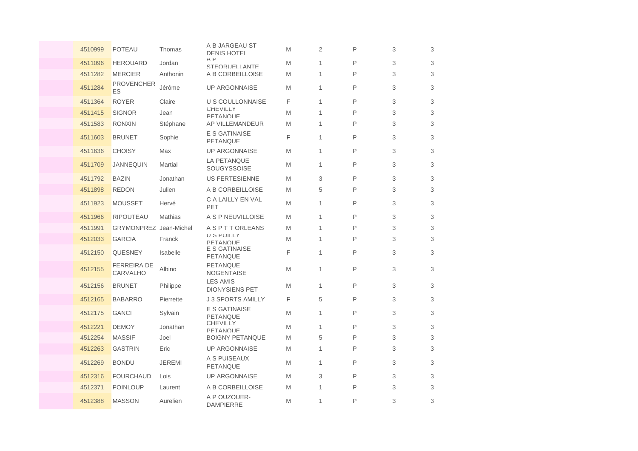| 4510999 | <b>POTEAU</b>                  | Thomas        | A B JARGEAU ST<br><b>DENIS HOTEL</b>     | M | $\overline{2}$ | P | 3 | 3 |
|---------|--------------------------------|---------------|------------------------------------------|---|----------------|---|---|---|
| 4511096 | <b>HEROUARD</b>                | Jordan        | $A$ $P$<br>STEORUELL ANTE                | M | 1              | P | 3 | 3 |
| 4511282 | <b>MERCIER</b>                 | Anthonin      | A B CORBEILLOISE                         | M | 1              | P | 3 | 3 |
| 4511284 | <b>PROVENCHER</b><br>ES        | Jérôme        | <b>UP ARGONNAISE</b>                     | M | 1              | P | 3 | 3 |
| 4511364 | <b>ROYER</b>                   | Claire        | U S COULLONNAISE                         | F | 1              | P | 3 | 3 |
| 4511415 | <b>SIGNOR</b>                  | Jean          | <b>CHEVILLY</b><br><b>PFTANOUF</b>       | M | 1              | P | 3 | 3 |
| 4511583 | <b>RONXIN</b>                  | Stéphane      | <b>AP VILLEMANDEUR</b>                   | M | 1              | P | 3 | 3 |
| 4511603 | <b>BRUNET</b>                  | Sophie        | E S GATINAISE<br><b>PETANQUE</b>         | F | 1              | P | 3 | 3 |
| 4511636 | <b>CHOISY</b>                  | Max           | <b>UP ARGONNAISE</b>                     | M | 1              | P | 3 | 3 |
| 4511709 | <b>JANNEQUIN</b>               | Martial       | LA PETANQUE<br>SOUGYSSOISE               | M | 1              | P | 3 | 3 |
| 4511792 | <b>BAZIN</b>                   | Jonathan      | <b>US FERTESIENNE</b>                    | M | 3              | P | 3 | 3 |
| 4511898 | <b>REDON</b>                   | Julien        | A B CORBEILLOISE                         | M | 5              | P | 3 | 3 |
| 4511923 | <b>MOUSSET</b>                 | Hervé         | C A LAILLY EN VAL<br>PET                 | M | 1              | P | 3 | 3 |
| 4511966 | <b>RIPOUTEAU</b>               | Mathias       | A S P NEUVILLOISE                        | M | 1              | P | 3 | 3 |
| 4511991 | <b>GRYMONPREZ</b> Jean-Michel  |               | A S P T T ORLEANS                        | M | 1              | P | 3 | 3 |
| 4512033 | <b>GARCIA</b>                  | Franck        | U S POILLY<br><b>PFTANOUF</b>            | M | 1              | P | 3 | 3 |
| 4512150 | QUESNEY                        | Isabelle      | E S GATINAISE<br><b>PETANQUE</b>         | F | 1              | P | 3 | 3 |
| 4512155 | <b>FERREIRA DE</b><br>CARVALHO | Albino        | PETANQUE<br>NOGENTAISE                   | M | 1              | P | 3 | 3 |
| 4512156 | <b>BRUNET</b>                  | Philippe      | <b>LES AMIS</b><br><b>DIONYSIENS PET</b> | M | 1              | P | 3 | 3 |
| 4512165 | <b>BABARRO</b>                 | Pierrette     | <b>J 3 SPORTS AMILLY</b>                 | F | 5              | P | 3 | 3 |
| 4512175 | <b>GANCI</b>                   | Sylvain       | E S GATINAISE<br><b>PETANQUE</b>         | M | 1              | P | 3 | 3 |
| 4512221 | <b>DEMOY</b>                   | Jonathan      | <b>UHEVILLY</b><br>PFTANOLIF             | M | 1              | P | 3 | 3 |
| 4512254 | <b>MASSIF</b>                  | Joel          | <b>BOIGNY PETANQUE</b>                   | M | 5              | P | 3 | 3 |
| 4512263 | <b>GASTRIN</b>                 | Eric          | <b>UP ARGONNAISE</b>                     | M | 1              | P | 3 | 3 |
| 4512269 | <b>BONDU</b>                   | <b>JEREMI</b> | A S PUISEAUX<br><b>PETANQUE</b>          | M | 1              | P | 3 | 3 |
| 4512316 | <b>FOURCHAUD</b>               | Lois          | <b>UP ARGONNAISE</b>                     | M | 3              | P | 3 | 3 |
| 4512371 | <b>POINLOUP</b>                | Laurent       | A B CORBEILLOISE                         | M | 1              | P | 3 | 3 |
| 4512388 | <b>MASSON</b>                  | Aurelien      | A P OUZOUER-<br><b>DAMPIERRE</b>         | M | 1              | P | 3 | 3 |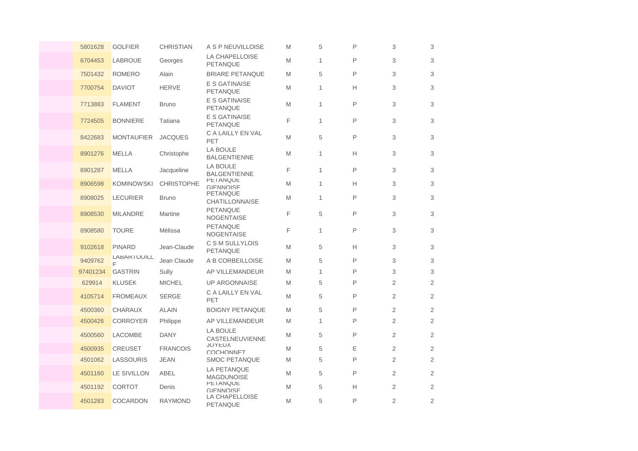| 5801628  | <b>GOLFIER</b>      | <b>CHRISTIAN</b>  | A S P NEUVILLOISE                        | M | 5            | P | 3              | 3              |
|----------|---------------------|-------------------|------------------------------------------|---|--------------|---|----------------|----------------|
| 6704453  | <b>LABROUE</b>      | Georges           | LA CHAPELLOISE<br>PETANQUE               | M | 1            | P | 3              | 3              |
| 7501432  | <b>ROMERO</b>       | Alain             | <b>BRIARE PETANQUE</b>                   | M | 5            | P | 3              | 3              |
| 7700754  | <b>DAVIOT</b>       | <b>HERVE</b>      | E S GATINAISE<br><b>PETANQUE</b>         | M | $\mathbf{1}$ | Н | 3              | 3              |
| 7713883  | <b>FLAMENT</b>      | <b>Bruno</b>      | E S GATINAISE<br><b>PETANQUE</b>         | M | 1            | P | 3              | 3              |
| 7724505  | <b>BONNIERE</b>     | Tatiana           | E S GATINAISE<br><b>PETANQUE</b>         | F | 1            | P | 3              | 3              |
| 8422683  | <b>MONTAUFIER</b>   | <b>JACQUES</b>    | C A LAILLY EN VAL<br>PET                 | M | 5            | P | 3              | 3              |
| 8901276  | <b>MELLA</b>        | Christophe        | <b>LA BOULE</b><br><b>BALGENTIENNE</b>   | M | 1            | Н | 3              | 3              |
| 8901287  | <b>MELLA</b>        | Jacqueline        | LA BOULE<br><b>BALGENTIENNE</b>          | F | $\mathbf{1}$ | P | 3              | 3              |
| 8906598  | <b>KOMINOWSKI</b>   | <b>CHRISTOPHE</b> | <b>PETANQUE</b><br><b>GIFNNOISE</b>      | M | 1            | H | 3              | 3              |
| 8908025  | <b>LECURIER</b>     | <b>Bruno</b>      | <b>PETANQUE</b><br><b>CHATILLONNAISE</b> | M | $\mathbf{1}$ | P | 3              | 3              |
| 8908530  | <b>MILANDRE</b>     | Martine           | <b>PETANQUE</b><br>NOGENTAISE            | F | 5            | P | 3              | 3              |
| 8908580  | <b>TOURE</b>        | Mélissa           | PETANQUE<br><b>NOGENTAISE</b>            | F | $\mathbf{1}$ | P | 3              | 3              |
| 9102618  | <b>PINARD</b>       | Jean-Claude       | C S M SULLYLOIS<br><b>PETANQUE</b>       | M | 5            | Н | 3              | 3              |
| 9409762  | LABAR I OUILL<br>E. | Jean Claude       | A B CORBEILLOISE                         | M | 5            | P | 3              | 3              |
| 97401234 | <b>GASTRIN</b>      | Sully             | AP VILLEMANDEUR                          | M | $\mathbf{1}$ | P | 3              | 3              |
| 629914   | <b>KLUSEK</b>       | <b>MICHEL</b>     | <b>UP ARGONNAISE</b>                     | M | 5            | P | $\overline{2}$ | $\overline{2}$ |
| 4105714  | <b>FROMEAUX</b>     | <b>SERGE</b>      | C A LAILLY EN VAL<br>PET                 | M | 5            | P | 2              | $\overline{2}$ |
| 4500360  | <b>CHARAUX</b>      | <b>ALAIN</b>      | <b>BOIGNY PETANQUE</b>                   | M | 5            | P | 2              | $\overline{2}$ |
| 4500426  | <b>CORROYER</b>     | Philippe          | AP VILLEMANDEUR                          | M | 1            | P | 2              | $\overline{2}$ |
| 4500560  | LACOMBE             | <b>DANY</b>       | <b>LA BOULE</b><br>CASTELNEUVIENNE       | M | 5            | P | 2              | $\overline{2}$ |
| 4500935  | <b>CREUSET</b>      | <b>FRANCOIS</b>   | <b>JUYEUX</b><br><b>COCHONNET</b>        | M | 5            | Ε | 2              | $\overline{2}$ |
| 4501062  | LASSOURIS           | <b>JEAN</b>       | <b>SMOC PETANQUE</b>                     | M | 5            | P | $\overline{2}$ | 2              |
| 4501160  | LE SIVILLON         | ABEL              | LA PETANQUE<br><b>MAGDUNOISE</b>         | M | 5            | P | $\overline{2}$ | $\overline{2}$ |
| 4501192  | <b>CORTOT</b>       | Denis             | <b>PETANQUE</b><br>GIFNNOISE             | M | 5            | Н | 2              | 2              |
| 4501283  | <b>COCARDON</b>     | <b>RAYMOND</b>    | LA CHAPELLOISE<br><b>PETANQUE</b>        | M | 5            | P | $\overline{2}$ | $\overline{2}$ |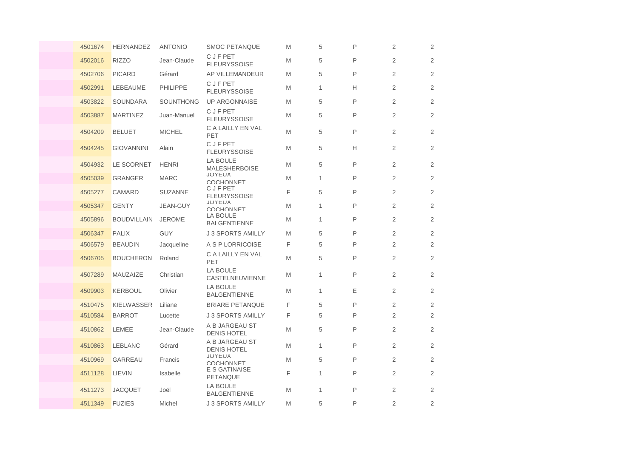| 4501674 | <b>HERNANDEZ</b>   | <b>ANTONIO</b>  | <b>SMOC PETANQUE</b>                   | M | 5            | P | 2              | 2              |
|---------|--------------------|-----------------|----------------------------------------|---|--------------|---|----------------|----------------|
| 4502016 | <b>RIZZO</b>       | Jean-Claude     | <b>CJFPET</b><br><b>FLEURYSSOISE</b>   | M | 5            | P | 2              | 2              |
| 4502706 | <b>PICARD</b>      | Gérard          | AP VILLEMANDEUR                        | M | 5            | P | 2              | 2              |
| 4502991 | <b>LEBEAUME</b>    | <b>PHILIPPE</b> | <b>CJFPET</b><br><b>FLEURYSSOISE</b>   | M | $\mathbf{1}$ | Н | 2              | 2              |
| 4503822 | <b>SOUNDARA</b>    | SOUNTHONG       | <b>UP ARGONNAISE</b>                   | M | 5            | P | $\mathbf{2}$   | $\overline{2}$ |
| 4503887 | <b>MARTINEZ</b>    | Juan-Manuel     | <b>CJFPET</b><br><b>FLEURYSSOISE</b>   | M | 5            | P | $\mathbf{2}$   | 2              |
| 4504209 | <b>BELUET</b>      | <b>MICHEL</b>   | C A LAILLY EN VAL<br>PET               | M | 5            | P | 2              | $\overline{2}$ |
| 4504245 | <b>GIOVANNINI</b>  | Alain           | <b>CJFPET</b><br><b>FLEURYSSOISE</b>   | M | 5            | Н | $\mathbf{2}$   | $\overline{2}$ |
| 4504932 | LE SCORNET         | <b>HENRI</b>    | LA BOULE<br><b>MALESHERBOISE</b>       | M | 5            | P | 2              | 2              |
| 4505039 | <b>GRANGER</b>     | <b>MARC</b>     | <b>JOYEUX</b><br>COCHONNET             | M | 1            | P | 2              | $\overline{2}$ |
| 4505277 | CAMARD             | <b>SUZANNE</b>  | C J F PET<br><b>FLEURYSSOISE</b>       | F | 5            | P | 2              | 2              |
| 4505347 | <b>GENTY</b>       | JEAN-GUY        | <b>JOYEUX</b><br>COCHONNET             | M | 1            | P | $\mathbf{2}$   | $\overline{2}$ |
| 4505896 | <b>BOUDVILLAIN</b> | <b>JEROME</b>   | <b>LA BOULE</b><br><b>BALGENTIENNE</b> | M | 1            | P | 2              | 2              |
| 4506347 | <b>PALIX</b>       | <b>GUY</b>      | <b>J 3 SPORTS AMILLY</b>               | M | 5            | P | $\overline{2}$ | 2              |
| 4506579 | <b>BEAUDIN</b>     | Jacqueline      | A S P LORRICOISE                       | F | 5            | P | $\overline{2}$ | 2              |
| 4506705 | <b>BOUCHERON</b>   | Roland          | C A LAILLY EN VAL<br>PET               | M | 5            | P | $\overline{2}$ | 2              |
| 4507289 | MAUZAIZE           | Christian       | <b>LA BOULE</b><br>CASTELNEUVIENNE     | M | 1            | P | $\mathbf{2}$   | 2              |
| 4509903 | <b>KERBOUL</b>     | Olivier         | LA BOULE<br><b>BALGENTIENNE</b>        | M | $\mathbf{1}$ | Е | $\mathbf{2}$   | 2              |
| 4510475 | <b>KIELWASSER</b>  | Liliane         | <b>BRIARE PETANQUE</b>                 | F | 5            | P | 2              | 2              |
| 4510584 | <b>BARROT</b>      | Lucette         | <b>J 3 SPORTS AMILLY</b>               | F | 5            | P | $\overline{2}$ | 2              |
| 4510862 | LEMEE              | Jean-Claude     | A B JARGEAU ST<br><b>DENIS HOTEL</b>   | M | 5            | P | 2              | 2              |
| 4510863 | <b>LEBLANC</b>     | Gérard          | A B JARGEAU ST<br><b>DENIS HOTEL</b>   | M | 1            | P | $\mathbf{2}$   | $\overline{2}$ |
| 4510969 | <b>GARREAU</b>     | Francis         | <b>JOYEUX</b><br>COCHONNET             | M | 5            | P | 2              | 2              |
| 4511128 | LIEVIN             | Isabelle        | E S GATINAISE<br>PETANQUE              | F | 1            | P | 2              | 2              |
| 4511273 | <b>JACQUET</b>     | Joël            | LA BOULE<br><b>BALGENTIENNE</b>        | M | 1            | P | $\overline{2}$ | 2              |
| 4511349 | <b>FUZIES</b>      | Michel          | <b>J 3 SPORTS AMILLY</b>               | M | 5            | P | 2              | 2              |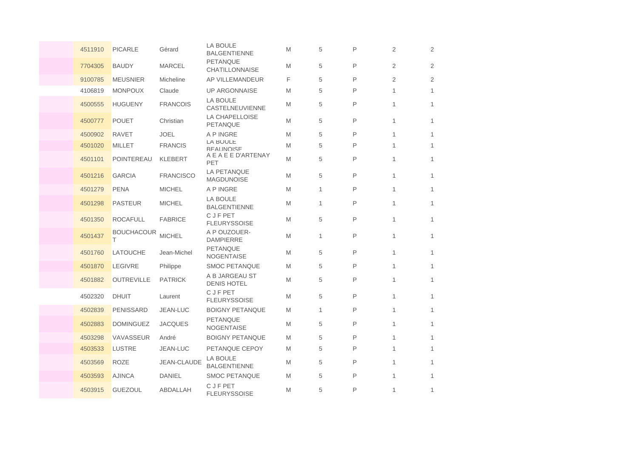| 4511910 | <b>PICARLE</b>         | Gérard             | <b>LA BOULE</b><br><b>BALGENTIENNE</b> | M | 5            | P | 2              | 2              |
|---------|------------------------|--------------------|----------------------------------------|---|--------------|---|----------------|----------------|
| 7704305 | <b>BAUDY</b>           | <b>MARCEL</b>      | PETANQUE<br><b>CHATILLONNAISE</b>      | M | 5            | P | $\overline{2}$ | 2              |
| 9100785 | <b>MEUSNIER</b>        | Micheline          | AP VILLEMANDEUR                        | F | 5            | P | $\overline{2}$ | $\overline{2}$ |
| 4106819 | <b>MONPOUX</b>         | Claude             | <b>UP ARGONNAISE</b>                   | M | 5            | P | 1              | $\mathbf{1}$   |
| 4500555 | <b>HUGUENY</b>         | <b>FRANCOIS</b>    | LA BOULE<br>CASTELNEUVIENNE            | M | 5            | P | 1              | $\mathbf{1}$   |
| 4500777 | <b>POUET</b>           | Christian          | <b>LA CHAPELLOISE</b><br>PETANQUE      | M | 5            | P | 1              | $\mathbf{1}$   |
| 4500902 | <b>RAVET</b>           | <b>JOEL</b>        | A P INGRE                              | M | 5            | P | 1              | 1              |
| 4501020 | <b>MILLET</b>          | <b>FRANCIS</b>     | LA BOULE<br><b>REALINOISE</b>          | M | 5            | P | 1              | $\mathbf{1}$   |
| 4501101 | POINTEREAU             | <b>KLEBERT</b>     | A E A E E D'ARTENAY<br>PET             | M | 5            | P | 1              | $\mathbf{1}$   |
| 4501216 | <b>GARCIA</b>          | <b>FRANCISCO</b>   | LA PETANQUE<br>MAGDUNOISE              | M | 5            | P | 1              | $\mathbf{1}$   |
| 4501279 | <b>PENA</b>            | <b>MICHEL</b>      | A P INGRE                              | M | $\mathbf{1}$ | P | 1              | 1              |
| 4501298 | <b>PASTEUR</b>         | <b>MICHEL</b>      | <b>LA BOULE</b><br><b>BALGENTIENNE</b> | M | 1            | P | 1              | $\mathbf{1}$   |
| 4501350 | <b>ROCAFULL</b>        | <b>FABRICE</b>     | <b>CJFPET</b><br><b>FLEURYSSOISE</b>   | M | 5            | P | 1              | $\mathbf{1}$   |
| 4501437 | <b>BOUCHACOUR</b><br>Τ | <b>MICHEL</b>      | A P OUZOUER-<br><b>DAMPIERRE</b>       | M | 1            | P | 1              | 1              |
| 4501760 | <b>LATOUCHE</b>        | Jean-Michel        | <b>PETANQUE</b><br><b>NOGENTAISE</b>   | M | 5            | P | 1              | $\mathbf{1}$   |
| 4501870 | <b>LEGIVRE</b>         | Philippe           | <b>SMOC PETANQUE</b>                   | M | 5            | P | 1              | $\mathbf{1}$   |
| 4501882 | <b>OUTREVILLE</b>      | <b>PATRICK</b>     | A B JARGEAU ST<br><b>DENIS HOTEL</b>   | M | 5            | P | 1              | $\mathbf{1}$   |
| 4502320 | <b>DHUIT</b>           | Laurent            | <b>CJFPET</b><br><b>FLEURYSSOISE</b>   | M | 5            | P | 1              | $\mathbf{1}$   |
| 4502839 | <b>PENISSARD</b>       | JEAN-LUC           | <b>BOIGNY PETANQUE</b>                 | M | 1            | P | 1              | $\mathbf{1}$   |
| 4502883 | <b>DOMINGUEZ</b>       | <b>JACQUES</b>     | <b>PETANQUE</b><br><b>NOGENTAISE</b>   | M | 5            | P | 1              | $\mathbf{1}$   |
| 4503298 | VAVASSEUR              | André              | <b>BOIGNY PETANQUE</b>                 | M | 5            | P | 1              | $\mathbf{1}$   |
| 4503533 | <b>LUSTRE</b>          | JEAN-LUC           | PETANQUE CEPOY                         | M | 5            | P | 1              | $\mathbf{1}$   |
| 4503569 | <b>ROZE</b>            | <b>JEAN-CLAUDE</b> | LA BOULE<br><b>BALGENTIENNE</b>        | M | 5            | P | 1              | $\mathbf{1}$   |
| 4503593 | <b>AJINCA</b>          | <b>DANIEL</b>      | <b>SMOC PETANQUE</b>                   | M | 5            | P | 1              | $\mathbf{1}$   |
| 4503915 | <b>GUEZOUL</b>         | ABDALLAH           | C J F PET<br><b>FLEURYSSOISE</b>       | M | 5            | P | 1              | $\mathbf{1}$   |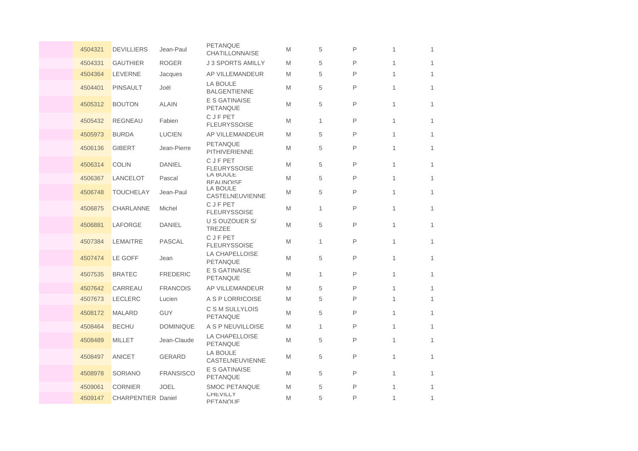| 4504321 | <b>DEVILLIERS</b>  | Jean-Paul        | <b>PETANQUE</b><br><b>CHATILLONNAISE</b> | M | 5            | P | 1 | 1            |
|---------|--------------------|------------------|------------------------------------------|---|--------------|---|---|--------------|
| 4504331 | <b>GAUTHIER</b>    | <b>ROGER</b>     | <b>J 3 SPORTS AMILLY</b>                 | M | 5            | P | 1 | 1            |
| 4504364 | <b>LEVERNE</b>     | Jacques          | AP VILLEMANDEUR                          | M | 5            | P | 1 | 1            |
| 4504401 | <b>PINSAULT</b>    | Joël             | <b>LA BOULE</b><br><b>BALGENTIENNE</b>   | M | 5            | P | 1 | $\mathbf{1}$ |
| 4505312 | <b>BOUTON</b>      | <b>ALAIN</b>     | <b>E S GATINAISE</b><br>PETANQUE         | M | 5            | P | 1 | $\mathbf{1}$ |
| 4505432 | <b>REGNEAU</b>     | Fabien           | <b>CJFPET</b><br><b>FLEURYSSOISE</b>     | M | $\mathbf{1}$ | P | 1 | 1            |
| 4505973 | <b>BURDA</b>       | <b>LUCIEN</b>    | AP VILLEMANDEUR                          | M | 5            | P | 1 | 1            |
| 4506136 | <b>GIBERT</b>      | Jean-Pierre      | <b>PETANQUE</b><br><b>PITHIVERIENNE</b>  | M | 5            | P | 1 | $\mathbf{1}$ |
| 4506314 | <b>COLIN</b>       | <b>DANIEL</b>    | C J F PET<br><b>FLEURYSSOISE</b>         | M | 5            | P | 1 | 1            |
| 4506367 | LANCELOT           | Pascal           | LA BOULE<br><b>REALINOISE</b>            | M | 5            | P | 1 | $\mathbf{1}$ |
| 4506748 | <b>TOUCHELAY</b>   | Jean-Paul        | <b>LA BOULE</b><br>CASTELNEUVIENNE       | M | 5            | P | 1 | 1            |
| 4506875 | <b>CHARLANNE</b>   | Michel           | C J F PET<br><b>FLEURYSSOISE</b>         | M | $\mathbf{1}$ | P | 1 | 1            |
| 4506881 | LAFORGE            | <b>DANIEL</b>    | U S OUZOUER S/<br><b>TREZEE</b>          | M | 5            | P | 1 | 1            |
| 4507384 | LEMAITRE           | <b>PASCAL</b>    | <b>CJFPET</b><br><b>FLEURYSSOISE</b>     | M | 1            | P | 1 | $\mathbf{1}$ |
| 4507474 | LE GOFF            | Jean             | <b>LA CHAPELLOISE</b><br>PETANQUE        | M | 5            | P | 1 | 1            |
| 4507535 | <b>BRATEC</b>      | <b>FREDERIC</b>  | E S GATINAISE<br><b>PETANQUE</b>         | M | $\mathbf{1}$ | P | 1 | 1            |
| 4507642 | CARREAU            | <b>FRANCOIS</b>  | AP VILLEMANDEUR                          | M | 5            | P | 1 | 1            |
| 4507673 | <b>LECLERC</b>     | Lucien           | A S P LORRICOISE                         | M | 5            | P | 1 | $\mathbf{1}$ |
| 4508172 | <b>MALARD</b>      | <b>GUY</b>       | C S M SULLYLOIS<br><b>PETANQUE</b>       | M | 5            | P | 1 | 1            |
| 4508464 | <b>BECHU</b>       | <b>DOMINIQUE</b> | A S P NEUVILLOISE                        | M | 1            | P | 1 | $\mathbf{1}$ |
| 4508489 | MILLET             | Jean-Claude      | LA CHAPELLOISE<br>PETANQUE               | M | 5            | P | 1 | 1            |
| 4508497 | <b>ANICET</b>      | <b>GERARD</b>    | LA BOULE<br>CASTELNEUVIENNE              | M | 5            | P | 1 | 1            |
| 4508978 | <b>SORIANO</b>     | <b>FRANSISCO</b> | E S GATINAISE<br><b>PETANQUE</b>         | M | 5            | P | 1 | $\mathbf{1}$ |
| 4509061 | <b>CORNIER</b>     | <b>JOEL</b>      | <b>SMOC PETANQUE</b>                     | M | 5            | P | 1 | $\mathbf{1}$ |
| 4509147 | CHARPENTIER Daniel |                  | <b>CHEVILLY</b><br><b>PFTANOUF</b>       | M | 5            | P | 1 | 1            |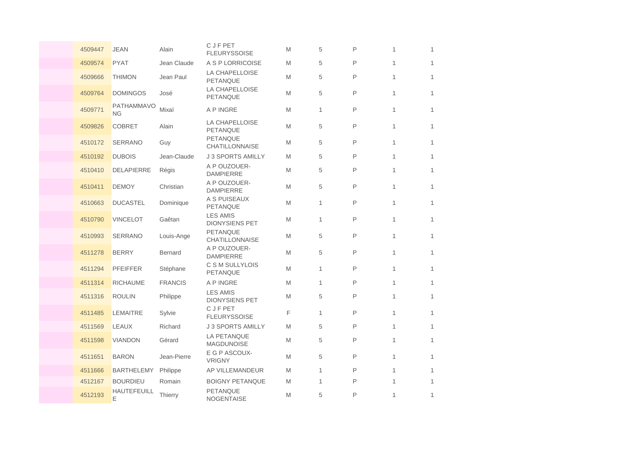| 4509447 | <b>JEAN</b>                    | Alain          | <b>CJFPET</b><br><b>FLEURYSSOISE</b>     | M | 5            | P | 1            | $\mathbf{1}$ |
|---------|--------------------------------|----------------|------------------------------------------|---|--------------|---|--------------|--------------|
| 4509574 | <b>PYAT</b>                    | Jean Claude    | A S P LORRICOISE                         | M | 5            | P | $\mathbf{1}$ | $\mathbf{1}$ |
| 4509666 | <b>THIMON</b>                  | Jean Paul      | <b>LA CHAPELLOISE</b><br>PETANQUE        | M | 5            | P | $\mathbf{1}$ | $\mathbf{1}$ |
| 4509764 | <b>DOMINGOS</b>                | José           | LA CHAPELLOISE<br>PETANQUE               | M | 5            | P | $\mathbf{1}$ | $\mathbf{1}$ |
| 4509771 | <b>PATHAMMAVO</b><br><b>NG</b> | Mixaï          | A P INGRE                                | M | 1            | P | 1            | $\mathbf{1}$ |
| 4509826 | <b>COBRET</b>                  | Alain          | LA CHAPELLOISE<br><b>PETANQUE</b>        | M | 5            | P | $\mathbf{1}$ | $\mathbf{1}$ |
| 4510172 | <b>SERRANO</b>                 | Guy            | PETANQUE<br><b>CHATILLONNAISE</b>        | M | 5            | P | $\mathbf{1}$ | $\mathbf{1}$ |
| 4510192 | <b>DUBOIS</b>                  | Jean-Claude    | <b>J 3 SPORTS AMILLY</b>                 | M | 5            | P | $\mathbf{1}$ | $\mathbf{1}$ |
| 4510410 | <b>DELAPIERRE</b>              | Régis          | A P OUZOUER-<br><b>DAMPIERRE</b>         | M | 5            | P | 1            | $\mathbf{1}$ |
| 4510411 | <b>DEMOY</b>                   | Christian      | A P OUZOUER-<br><b>DAMPIERRE</b>         | M | 5            | Ρ | 1            | $\mathbf{1}$ |
| 4510663 | <b>DUCASTEL</b>                | Dominique      | A S PUISEAUX<br><b>PETANQUE</b>          | M | 1            | P | 1            | $\mathbf{1}$ |
| 4510790 | <b>VINCELOT</b>                | Gaêtan         | <b>LES AMIS</b><br><b>DIONYSIENS PET</b> | M | $\mathbf{1}$ | P | $\mathbf{1}$ | $\mathbf{1}$ |
| 4510993 | <b>SERRANO</b>                 | Louis-Ange     | <b>PETANQUE</b><br><b>CHATILLONNAISE</b> | M | 5            | P | 1            | $\mathbf{1}$ |
| 4511278 | <b>BERRY</b>                   | <b>Bernard</b> | A P OUZOUER-<br><b>DAMPIERRE</b>         | M | 5            | Ρ | 1            | $\mathbf{1}$ |
| 4511294 | <b>PFEIFFER</b>                | Stéphane       | C S M SULLYLOIS<br>PETANQUE              | M | $\mathbf{1}$ | P | 1            | $\mathbf{1}$ |
| 4511314 | <b>RICHAUME</b>                | <b>FRANCIS</b> | A P INGRE                                | M | $\mathbf{1}$ | P | $\mathbf{1}$ | $\mathbf{1}$ |
| 4511316 | <b>ROULIN</b>                  | Philippe       | <b>LES AMIS</b><br><b>DIONYSIENS PET</b> | M | 5            | P | $\mathbf{1}$ | $\mathbf{1}$ |
| 4511485 | <b>LEMAITRE</b>                | Sylvie         | <b>CJFPET</b><br><b>FLEURYSSOISE</b>     | F | $\mathbf{1}$ | P | $\mathbf{1}$ | $\mathbf{1}$ |
| 4511569 | <b>LEAUX</b>                   | Richard        | J 3 SPORTS AMILLY                        | M | 5            | P | 1            | $\mathbf{1}$ |
| 4511598 | <b>VIANDON</b>                 | Gérard         | LA PETANQUE<br><b>MAGDUNOISE</b>         | M | 5            | P | 1            | $\mathbf{1}$ |
| 4511651 | <b>BARON</b>                   | Jean-Pierre    | E G P ASCOUX-<br><b>VRIGNY</b>           | M | 5            | P | 1            | $\mathbf{1}$ |
| 4511666 | <b>BARTHELEMY</b>              | Philippe       | AP VILLEMANDEUR                          | M | $\mathbf{1}$ | P | $\mathbf{1}$ | $\mathbf{1}$ |
| 4512167 | <b>BOURDIEU</b>                | Romain         | <b>BOIGNY PETANQUE</b>                   | M | 1            | P | 1            | $\mathbf{1}$ |
| 4512193 | <b>HAUTEFEUILL</b><br>E        | <b>Thierry</b> | PETANQUE<br>NOGENTAISE                   | M | 5            | P | 1            | 1            |